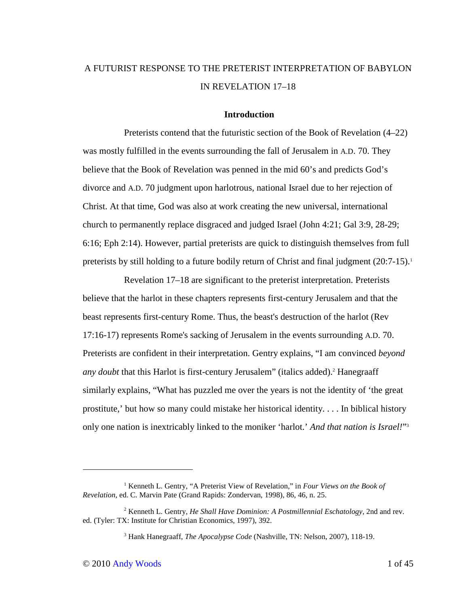# A FUTURIST RESPONSE TO THE PRETERIST INTERPRETATION OF BABYLON IN REVELATION 17–18

# **Introduction**

Preterists contend that the futuristic section of the Book of Revelation (4–22) was mostly fulfilled in the events surrounding the fall of Jerusalem in A.D. 70. They believe that the Book of Revelation was penned in the mid 60's and predicts God's divorce and A.D. 70 judgment upon harlotrous, national Israel due to her rejection of Christ. At that time, God was also at work creating the new universal, international church to permanently replace disgraced and judged Israel (John 4:21; Gal 3:9, 28-29; 6:16; Eph 2:14). However, partial preterists are quick to distinguish themselves from full preterists by still holding to a future bodily return of Christ and final judgment (20:7-15).<sup>1</sup>

Revelation 17–18 are significant to the preterist interpretation. Preterists believe that the harlot in these chapters represents first-century Jerusalem and that the beast represents first-century Rome. Thus, the beast's destruction of the harlot (Rev 17:16-17) represents Rome's sacking of Jerusalem in the events surrounding A.D. 70. Preterists are confident in their interpretation. Gentry explains, "I am convinced *beyond*  any doubt that this Harlot is first-century Jerusalem" (italics added).<sup>2</sup> Hanegraaff similarly explains, "What has puzzled me over the years is not the identity of 'the great prostitute,' but how so many could mistake her historical identity. . . . In biblical history only one nation is inextricably linked to the moniker 'harlot.' *And that nation is Israel!*" 3

<sup>&</sup>lt;sup>1</sup> Kenneth L. Gentry, "A Preterist View of Revelation," in *Four Views on the Book of Revelation*, ed. C. Marvin Pate (Grand Rapids: Zondervan, 1998), 86, 46, n. 25.

<sup>2</sup> Kenneth L. Gentry, *He Shall Have Dominion: A Postmillennial Eschatology*, 2nd and rev. ed. (Tyler: TX: Institute for Christian Economics, 1997), 392.

<sup>3</sup> Hank Hanegraaff, *The Apocalypse Code* (Nashville, TN: Nelson, 2007), 118-19.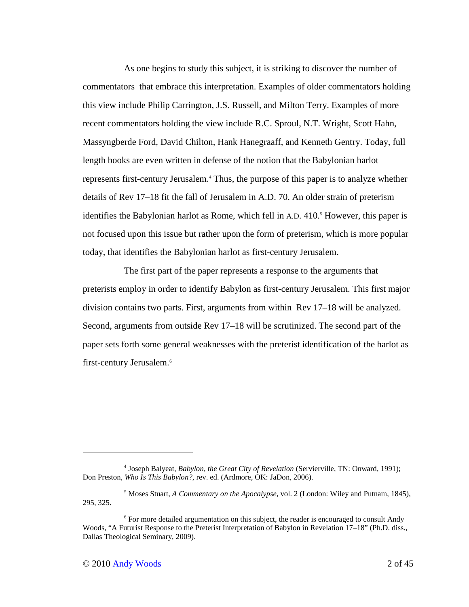As one begins to study this subject, it is striking to discover the number of commentators that embrace this interpretation. Examples of older commentators holding this view include Philip Carrington, J.S. Russell, and Milton Terry. Examples of more recent commentators holding the view include R.C. Sproul, N.T. Wright, Scott Hahn, Massyngberde Ford, David Chilton, Hank Hanegraaff, and Kenneth Gentry. Today, full length books are even written in defense of the notion that the Babylonian harlot represents first-century Jerusalem.<sup>4</sup> Thus, the purpose of this paper is to analyze whether details of Rev 17–18 fit the fall of Jerusalem in A.D. 70. An older strain of preterism identifies the Babylonian harlot as Rome, which fell in A.D. 410.<sup>5</sup> However, this paper is not focused upon this issue but rather upon the form of preterism, which is more popular today, that identifies the Babylonian harlot as first-century Jerusalem.

The first part of the paper represents a response to the arguments that preterists employ in order to identify Babylon as first-century Jerusalem. This first major division contains two parts. First, arguments from within Rev 17–18 will be analyzed. Second, arguments from outside Rev 17–18 will be scrutinized. The second part of the paper sets forth some general weaknesses with the preterist identification of the harlot as first-century Jerusalem.<sup>6</sup>

<sup>4</sup> Joseph Balyeat, *Babylon, the Great City of Revelation* (Servierville, TN: Onward, 1991); Don Preston, *Who Is This Babylon?*, rev. ed. (Ardmore, OK: JaDon, 2006).

<sup>5</sup> Moses Stuart, *A Commentary on the Apocalypse*, vol. 2 (London: Wiley and Putnam, 1845), 295, 325.

<sup>&</sup>lt;sup>6</sup> For more detailed argumentation on this subject, the reader is encouraged to consult Andy Woods, "A Futurist Response to the Preterist Interpretation of Babylon in Revelation 17–18" (Ph.D. diss., Dallas Theological Seminary, 2009).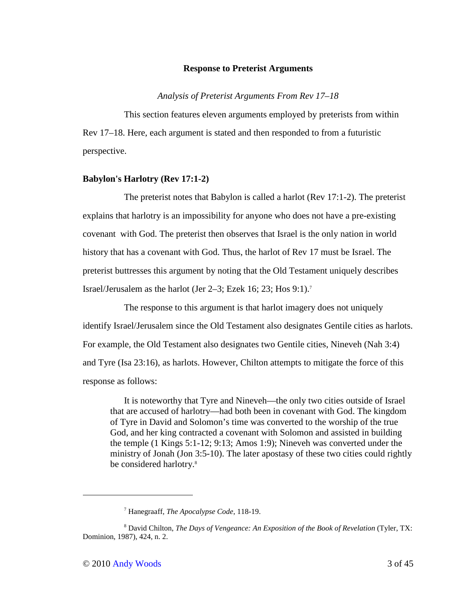#### **Response to Preterist Arguments**

*Analysis of Preterist Arguments From Rev 17–18* 

This section features eleven arguments employed by preterists from within Rev 17–18. Here, each argument is stated and then responded to from a futuristic perspective.

### **Babylon's Harlotry (Rev 17:1-2)**

The preterist notes that Babylon is called a harlot (Rev 17:1-2). The preterist explains that harlotry is an impossibility for anyone who does not have a pre-existing covenant with God. The preterist then observes that Israel is the only nation in world history that has a covenant with God. Thus, the harlot of Rev 17 must be Israel. The preterist buttresses this argument by noting that the Old Testament uniquely describes Israel/Jerusalem as the harlot (Jer 2–3; Ezek 16; 23; Hos 9:1).<sup>7</sup>

The response to this argument is that harlot imagery does not uniquely identify Israel/Jerusalem since the Old Testament also designates Gentile cities as harlots. For example, the Old Testament also designates two Gentile cities, Nineveh (Nah 3:4) and Tyre (Isa 23:16), as harlots. However, Chilton attempts to mitigate the force of this response as follows:

It is noteworthy that Tyre and Nineveh—the only two cities outside of Israel that are accused of harlotry—had both been in covenant with God. The kingdom of Tyre in David and Solomon's time was converted to the worship of the true God, and her king contracted a covenant with Solomon and assisted in building the temple (1 Kings 5:1-12; 9:13; Amos 1:9); Nineveh was converted under the ministry of Jonah (Jon 3:5-10). The later apostasy of these two cities could rightly be considered harlotry.<sup>8</sup>

-

<sup>7</sup> Hanegraaff, *The Apocalypse Code*, 118-19.

<sup>8</sup> David Chilton, *The Days of Vengeance: An Exposition of the Book of Revelation* (Tyler, TX: Dominion, 1987), 424, n. 2.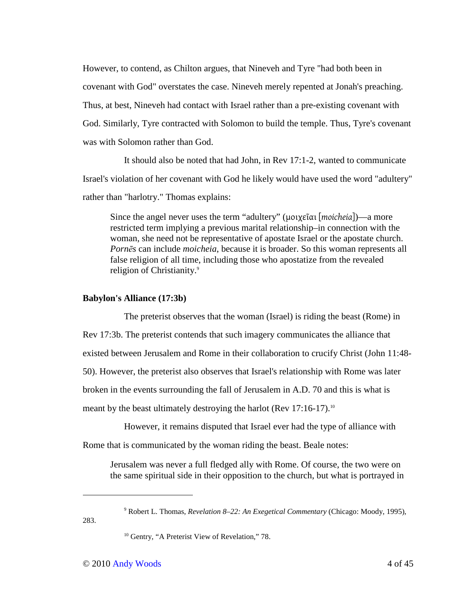However, to contend, as Chilton argues, that Nineveh and Tyre "had both been in covenant with God" overstates the case. Nineveh merely repented at Jonah's preaching. Thus, at best, Nineveh had contact with Israel rather than a pre-existing covenant with God. Similarly, Tyre contracted with Solomon to build the temple. Thus, Tyre's covenant was with Solomon rather than God.

It should also be noted that had John, in Rev 17:1-2, wanted to communicate Israel's violation of her covenant with God he likely would have used the word "adultery" rather than "harlotry." Thomas explains:

Since the angel never uses the term "adultery" (μοιχεῖαι [*moicheia*])—a more restricted term implying a previous marital relationship–in connection with the woman, she need not be representative of apostate Israel or the apostate church. *Pornēs* can include *moicheia*, because it is broader. So this woman represents all false religion of all time, including those who apostatize from the revealed religion of Christianity.<sup>9</sup>

### **Babylon's Alliance (17:3b)**

The preterist observes that the woman (Israel) is riding the beast (Rome) in Rev 17:3b. The preterist contends that such imagery communicates the alliance that existed between Jerusalem and Rome in their collaboration to crucify Christ (John 11:48- 50). However, the preterist also observes that Israel's relationship with Rome was later broken in the events surrounding the fall of Jerusalem in A.D. 70 and this is what is meant by the beast ultimately destroying the harlot (Rev 17:16-17).<sup>10</sup>

However, it remains disputed that Israel ever had the type of alliance with Rome that is communicated by the woman riding the beast. Beale notes:

Jerusalem was never a full fledged ally with Rome. Of course, the two were on the same spiritual side in their opposition to the church, but what is portrayed in

283.

-

<sup>9</sup> Robert L. Thomas, *Revelation 8–22: An Exegetical Commentary* (Chicago: Moody, 1995),

 $10$  Gentry, "A Preterist View of Revelation," 78.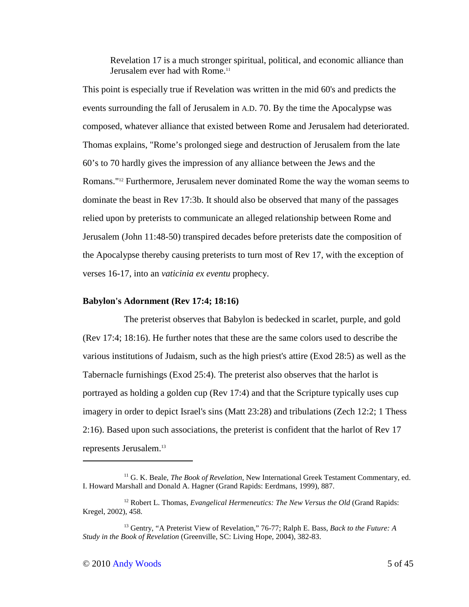Revelation 17 is a much stronger spiritual, political, and economic alliance than Jerusalem ever had with Rome.<sup>11</sup>

This point is especially true if Revelation was written in the mid 60's and predicts the events surrounding the fall of Jerusalem in A.D. 70. By the time the Apocalypse was composed, whatever alliance that existed between Rome and Jerusalem had deteriorated. Thomas explains, "Rome's prolonged siege and destruction of Jerusalem from the late 60's to 70 hardly gives the impression of any alliance between the Jews and the Romans."12 Furthermore, Jerusalem never dominated Rome the way the woman seems to dominate the beast in Rev 17:3b. It should also be observed that many of the passages relied upon by preterists to communicate an alleged relationship between Rome and Jerusalem (John 11:48-50) transpired decades before preterists date the composition of the Apocalypse thereby causing preterists to turn most of Rev 17, with the exception of verses 16-17, into an *vaticinia ex eventu* prophecy.

### **Babylon's Adornment (Rev 17:4; 18:16)**

The preterist observes that Babylon is bedecked in scarlet, purple, and gold (Rev 17:4; 18:16). He further notes that these are the same colors used to describe the various institutions of Judaism, such as the high priest's attire (Exod 28:5) as well as the Tabernacle furnishings (Exod 25:4). The preterist also observes that the harlot is portrayed as holding a golden cup (Rev 17:4) and that the Scripture typically uses cup imagery in order to depict Israel's sins (Matt 23:28) and tribulations (Zech 12:2; 1 Thess 2:16). Based upon such associations, the preterist is confident that the harlot of Rev 17 represents Jerusalem.<sup>13</sup>

<sup>11</sup> G. K. Beale, *The Book of Revelation*, New International Greek Testament Commentary, ed. I. Howard Marshall and Donald A. Hagner (Grand Rapids: Eerdmans, 1999), 887.

<sup>&</sup>lt;sup>12</sup> Robert L. Thomas, *Evangelical Hermeneutics: The New Versus the Old* (Grand Rapids: Kregel, 2002), 458.

<sup>13</sup> Gentry, "A Preterist View of Revelation," 76-77; Ralph E. Bass, *Back to the Future: A Study in the Book of Revelation* (Greenville, SC: Living Hope, 2004), 382-83.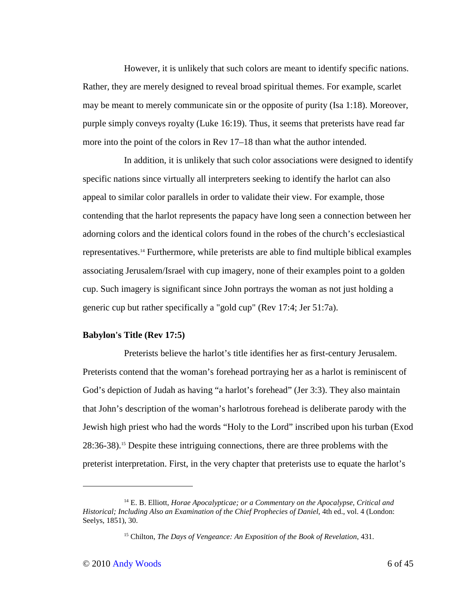However, it is unlikely that such colors are meant to identify specific nations. Rather, they are merely designed to reveal broad spiritual themes. For example, scarlet may be meant to merely communicate sin or the opposite of purity (Isa 1:18). Moreover, purple simply conveys royalty (Luke 16:19). Thus, it seems that preterists have read far more into the point of the colors in Rev 17–18 than what the author intended.

In addition, it is unlikely that such color associations were designed to identify specific nations since virtually all interpreters seeking to identify the harlot can also appeal to similar color parallels in order to validate their view. For example, those contending that the harlot represents the papacy have long seen a connection between her adorning colors and the identical colors found in the robes of the church's ecclesiastical representatives.14 Furthermore, while preterists are able to find multiple biblical examples associating Jerusalem/Israel with cup imagery, none of their examples point to a golden cup. Such imagery is significant since John portrays the woman as not just holding a generic cup but rather specifically a "gold cup" (Rev 17:4; Jer 51:7a).

### **Babylon's Title (Rev 17:5)**

Preterists believe the harlot's title identifies her as first-century Jerusalem. Preterists contend that the woman's forehead portraying her as a harlot is reminiscent of God's depiction of Judah as having "a harlot's forehead" (Jer 3:3). They also maintain that John's description of the woman's harlotrous forehead is deliberate parody with the Jewish high priest who had the words "Holy to the Lord" inscribed upon his turban (Exod 28:36-38).15 Despite these intriguing connections, there are three problems with the preterist interpretation. First, in the very chapter that preterists use to equate the harlot's

<sup>14</sup> E. B. Elliott, *Horae Apocalypticae; or a Commentary on the Apocalypse, Critical and Historical; Including Also an Examination of the Chief Prophecies of Daniel*, 4th ed., vol. 4 (London: Seelys, 1851), 30.

<sup>15</sup> Chilton, *The Days of Vengeance: An Exposition of the Book of Revelation*, 431.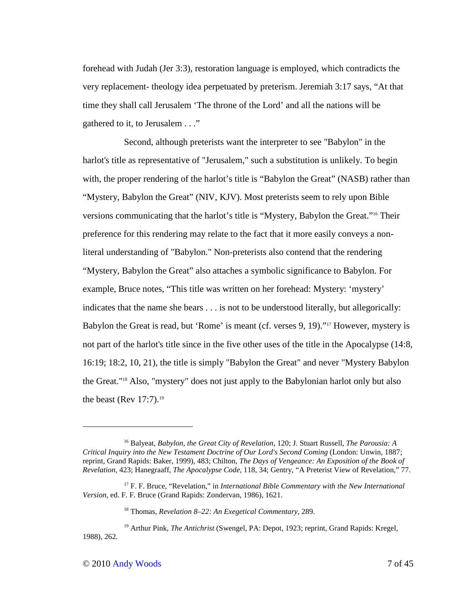forehead with Judah (Jer 3:3), restoration language is employed, which contradicts the very replacement- theology idea perpetuated by preterism. Jeremiah 3:17 says, "At that time they shall call Jerusalem 'The throne of the Lord' and all the nations will be gathered to it, to Jerusalem . . ."

Second, although preterists want the interpreter to see "Babylon" in the harlot's title as representative of "Jerusalem," such a substitution is unlikely. To begin with, the proper rendering of the harlot's title is "Babylon the Great" (NASB) rather than "Mystery, Babylon the Great" (NIV, KJV). Most preterists seem to rely upon Bible versions communicating that the harlot's title is "Mystery, Babylon the Great."16 Their preference for this rendering may relate to the fact that it more easily conveys a nonliteral understanding of "Babylon." Non-preterists also contend that the rendering "Mystery, Babylon the Great" also attaches a symbolic significance to Babylon. For example, Bruce notes, "This title was written on her forehead: Mystery: 'mystery' indicates that the name she bears . . . is not to be understood literally, but allegorically: Babylon the Great is read, but 'Rome' is meant (cf. verses 9, 19)."17 However, mystery is not part of the harlot's title since in the five other uses of the title in the Apocalypse (14:8, 16:19; 18:2, 10, 21), the title is simply "Babylon the Great" and never "Mystery Babylon the Great."18 Also, "mystery" does not just apply to the Babylonian harlot only but also the beast (Rev  $17:7$ ).<sup>19</sup>

<sup>16</sup> Balyeat, *Babylon, the Great City of Revelation*, 120; J. Stuart Russell, *The Parousia: A Critical Inquiry into the New Testament Doctrine of Our Lord's Second Coming* (London: Unwin, 1887; reprint, Grand Rapids: Baker, 1999), 483; Chilton, *The Days of Vengeance: An Exposition of the Book of Revelation*, 423; Hanegraaff, *The Apocalypse Code*, 118, 34; Gentry, "A Preterist View of Revelation," 77.

<sup>&</sup>lt;sup>17</sup> F. F. Bruce, "Revelation," in *International Bible Commentary with the New International Version*, ed. F. F. Bruce (Grand Rapids: Zondervan, 1986), 1621.

<sup>18</sup> Thomas, *Revelation 8–22: An Exegetical Commentary*, 289.

<sup>19</sup> Arthur Pink, *The Antichrist* (Swengel, PA: Depot, 1923; reprint, Grand Rapids: Kregel, 1988), 262.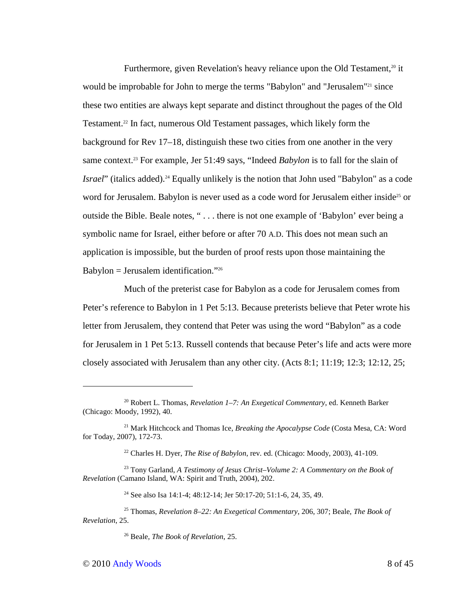Furthermore, given Revelation's heavy reliance upon the Old Testament, $20$  it would be improbable for John to merge the terms "Babylon" and "Jerusalem"<sup>21</sup> since these two entities are always kept separate and distinct throughout the pages of the Old Testament.22 In fact, numerous Old Testament passages, which likely form the background for Rev 17–18, distinguish these two cities from one another in the very same context.<sup>23</sup> For example, Jer 51:49 says, "Indeed *Babylon* is to fall for the slain of *Israel*" (italics added).<sup>24</sup> Equally unlikely is the notion that John used "Babylon" as a code word for Jerusalem. Babylon is never used as a code word for Jerusalem either inside<sup>25</sup> or outside the Bible. Beale notes, " . . . there is not one example of 'Babylon' ever being a symbolic name for Israel, either before or after 70 A.D. This does not mean such an application is impossible, but the burden of proof rests upon those maintaining the Babylon = Jerusalem identification." $26$ 

Much of the preterist case for Babylon as a code for Jerusalem comes from Peter's reference to Babylon in 1 Pet 5:13. Because preterists believe that Peter wrote his letter from Jerusalem, they contend that Peter was using the word "Babylon" as a code for Jerusalem in 1 Pet 5:13. Russell contends that because Peter's life and acts were more closely associated with Jerusalem than any other city. (Acts 8:1; 11:19; 12:3; 12:12, 25;

<sup>20</sup> Robert L. Thomas, *Revelation 1–7: An Exegetical Commentary*, ed. Kenneth Barker (Chicago: Moody, 1992), 40.

<sup>21</sup> Mark Hitchcock and Thomas Ice, *Breaking the Apocalypse Code* (Costa Mesa, CA: Word for Today, 2007), 172-73.

<sup>22</sup> Charles H. Dyer, *The Rise of Babylon*, rev. ed. (Chicago: Moody, 2003), 41-109.

<sup>23</sup> Tony Garland, *A Testimony of Jesus Christ–Volume 2: A Commentary on the Book of Revelation* (Camano Island, WA: Spirit and Truth, 2004), 202.

<sup>&</sup>lt;sup>24</sup> See also Isa 14:1-4; 48:12-14; Jer 50:17-20; 51:1-6, 24, 35, 49.

<sup>25</sup> Thomas, *Revelation 8–22: An Exegetical Commentary*, 206, 307; Beale, *The Book of Revelation*, 25.

<sup>26</sup> Beale, *The Book of Revelation*, 25.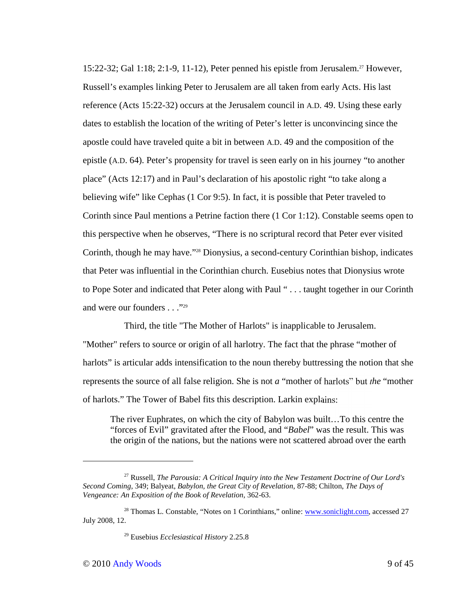15:22-32; Gal 1:18; 2:1-9, 11-12), Peter penned his epistle from Jerusalem.<sup>27</sup> However, Russell's examples linking Peter to Jerusalem are all taken from early Acts. His last reference (Acts 15:22-32) occurs at the Jerusalem council in A.D. 49. Using these early dates to establish the location of the writing of Peter's letter is unconvincing since the apostle could have traveled quite a bit in between A.D. 49 and the composition of the epistle (A.D. 64). Peter's propensity for travel is seen early on in his journey "to another place" (Acts 12:17) and in Paul's declaration of his apostolic right "to take along a believing wife" like Cephas (1 Cor 9:5). In fact, it is possible that Peter traveled to Corinth since Paul mentions a Petrine faction there (1 Cor 1:12). Constable seems open to this perspective when he observes, "There is no scriptural record that Peter ever visited Corinth, though he may have."28 Dionysius, a second-century Corinthian bishop, indicates that Peter was influential in the Corinthian church. Eusebius notes that Dionysius wrote to Pope Soter and indicated that Peter along with Paul " . . . taught together in our Corinth and were our founders . . . "29"

Third, the title "The Mother of Harlots" is inapplicable to Jerusalem. "Mother" refers to source or origin of all harlotry. The fact that the phrase "mother of harlots" is articular adds intensification to the noun thereby buttressing the notion that she represents the source of all false religion. She is not *a* "mother of harlots" but *the* "mother of harlots." The Tower of Babel fits this description. Larkin explains:

The river Euphrates, on which the city of Babylon was built…To this centre the "forces of Evil" gravitated after the Flood, and "*Babel*" was the result. This was the origin of the nations, but the nations were not scattered abroad over the earth

<sup>27</sup> Russell, *The Parousia: A Critical Inquiry into the New Testament Doctrine of Our Lord's Second Coming*, 349; Balyeat, *Babylon, the Great City of Revelation*, 87-88; Chilton, *The Days of Vengeance: An Exposition of the Book of Revelation*, 362-63.

<sup>&</sup>lt;sup>28</sup> Thomas L. Constable, "Notes on 1 Corinthians," online: www.soniclight.com, accessed 27 July 2008, 12.

<sup>29</sup> Eusebius *Ecclesiastical History* 2.25.8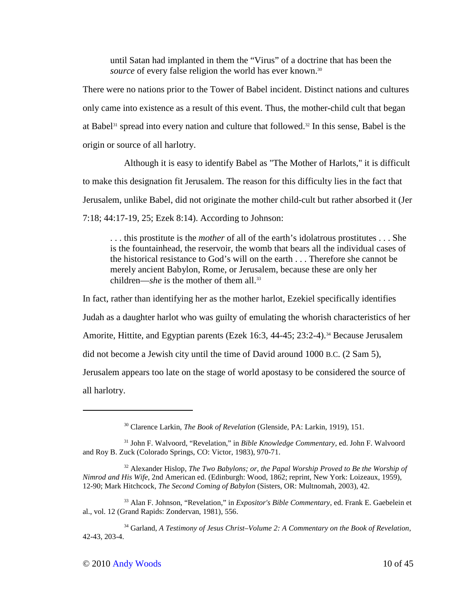until Satan had implanted in them the "Virus" of a doctrine that has been the *source* of every false religion the world has ever known.<sup>30</sup>

There were no nations prior to the Tower of Babel incident. Distinct nations and cultures only came into existence as a result of this event. Thus, the mother-child cult that began at Babel<sup>31</sup> spread into every nation and culture that followed.<sup>32</sup> In this sense, Babel is the origin or source of all harlotry.

Although it is easy to identify Babel as "The Mother of Harlots," it is difficult to make this designation fit Jerusalem. The reason for this difficulty lies in the fact that Jerusalem, unlike Babel, did not originate the mother child-cult but rather absorbed it (Jer 7:18; 44:17-19, 25; Ezek 8:14). According to Johnson:

. . . this prostitute is the *mother* of all of the earth's idolatrous prostitutes . . . She is the fountainhead, the reservoir, the womb that bears all the individual cases of the historical resistance to God's will on the earth . . . Therefore she cannot be merely ancient Babylon, Rome, or Jerusalem, because these are only her children—*she* is the mother of them all.<sup>33</sup>

In fact, rather than identifying her as the mother harlot, Ezekiel specifically identifies Judah as a daughter harlot who was guilty of emulating the whorish characteristics of her Amorite, Hittite, and Egyptian parents (Ezek 16:3, 44-45; 23:2-4).<sup>34</sup> Because Jerusalem did not become a Jewish city until the time of David around 1000 B.C. (2 Sam 5), Jerusalem appears too late on the stage of world apostasy to be considered the source of all harlotry.

<sup>30</sup> Clarence Larkin, *The Book of Revelation* (Glenside, PA: Larkin, 1919), 151.

<sup>31</sup> John F. Walvoord, "Revelation," in *Bible Knowledge Commentary*, ed. John F. Walvoord and Roy B. Zuck (Colorado Springs, CO: Victor, 1983), 970-71.

<sup>32</sup> Alexander Hislop, *The Two Babylons; or, the Papal Worship Proved to Be the Worship of Nimrod and His Wife*, 2nd American ed. (Edinburgh: Wood, 1862; reprint, New York: Loizeaux, 1959), 12-90; Mark Hitchcock, *The Second Coming of Babylon* (Sisters, OR: Multnomah, 2003), 42.

<sup>33</sup> Alan F. Johnson, "Revelation," in *Expositor's Bible Commentary*, ed. Frank E. Gaebelein et al., vol. 12 (Grand Rapids: Zondervan, 1981), 556.

<sup>34</sup> Garland, *A Testimony of Jesus Christ–Volume 2: A Commentary on the Book of Revelation*, 42-43, 203-4.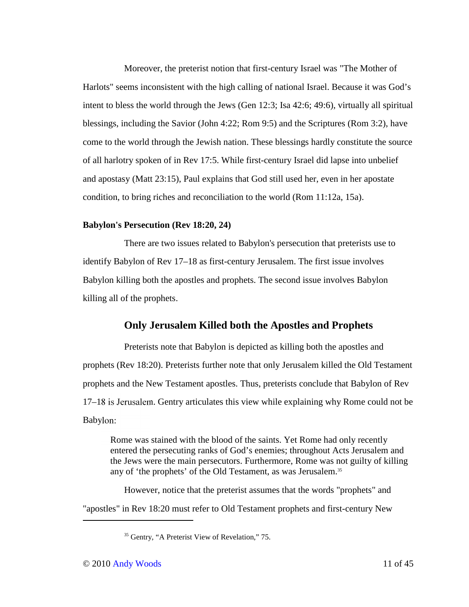Moreover, the preterist notion that first-century Israel was "The Mother of Harlots" seems inconsistent with the high calling of national Israel. Because it was God's intent to bless the world through the Jews (Gen 12:3; Isa 42:6; 49:6), virtually all spiritual blessings, including the Savior (John 4:22; Rom 9:5) and the Scriptures (Rom 3:2), have come to the world through the Jewish nation. These blessings hardly constitute the source of all harlotry spoken of in Rev 17:5. While first-century Israel did lapse into unbelief and apostasy (Matt 23:15), Paul explains that God still used her, even in her apostate condition, to bring riches and reconciliation to the world (Rom 11:12a, 15a).

### **Babylon's Persecution (Rev 18:20, 24)**

There are two issues related to Babylon's persecution that preterists use to identify Babylon of Rev 17–18 as first-century Jerusalem. The first issue involves Babylon killing both the apostles and prophets. The second issue involves Babylon killing all of the prophets.

# **Only Jerusalem Killed both the Apostles and Prophets**

Preterists note that Babylon is depicted as killing both the apostles and prophets (Rev 18:20). Preterists further note that only Jerusalem killed the Old Testament prophets and the New Testament apostles. Thus, preterists conclude that Babylon of Rev 17–18 is Jerusalem. Gentry articulates this view while explaining why Rome could not be Babylon:

Rome was stained with the blood of the saints. Yet Rome had only recently entered the persecuting ranks of God's enemies; throughout Acts Jerusalem and the Jews were the main persecutors. Furthermore, Rome was not guilty of killing any of 'the prophets' of the Old Testament, as was Jerusalem.<sup>35</sup>

However, notice that the preterist assumes that the words "prophets" and "apostles" in Rev 18:20 must refer to Old Testament prophets and first-century New

<sup>&</sup>lt;sup>35</sup> Gentry, "A Preterist View of Revelation," 75.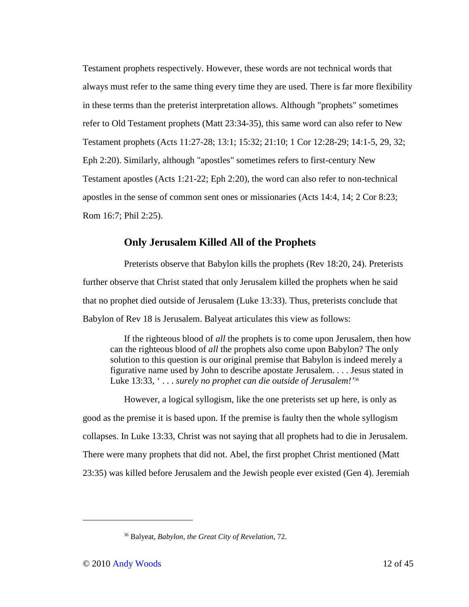Testament prophets respectively. However, these words are not technical words that always must refer to the same thing every time they are used. There is far more flexibility in these terms than the preterist interpretation allows. Although "prophets" sometimes refer to Old Testament prophets (Matt 23:34-35), this same word can also refer to New Testament prophets (Acts 11:27-28; 13:1; 15:32; 21:10; 1 Cor 12:28-29; 14:1-5, 29, 32; Eph 2:20). Similarly, although "apostles" sometimes refers to first-century New Testament apostles (Acts 1:21-22; Eph 2:20), the word can also refer to non-technical apostles in the sense of common sent ones or missionaries (Acts 14:4, 14; 2 Cor 8:23; Rom 16:7; Phil 2:25).

# **Only Jerusalem Killed All of the Prophets**

Preterists observe that Babylon kills the prophets (Rev 18:20, 24). Preterists further observe that Christ stated that only Jerusalem killed the prophets when he said that no prophet died outside of Jerusalem (Luke 13:33). Thus, preterists conclude that Babylon of Rev 18 is Jerusalem. Balyeat articulates this view as follows:

If the righteous blood of *all* the prophets is to come upon Jerusalem, then how can the righteous blood of *all* the prophets also come upon Babylon? The only solution to this question is our original premise that Babylon is indeed merely a figurative name used by John to describe apostate Jerusalem. . . . Jesus stated in Luke 13:33, ' . . . *surely no prophet can die outside of Jerusalem!'*<sup>36</sup>

However, a logical syllogism, like the one preterists set up here, is only as good as the premise it is based upon. If the premise is faulty then the whole syllogism collapses. In Luke 13:33, Christ was not saying that all prophets had to die in Jerusalem. There were many prophets that did not. Abel, the first prophet Christ mentioned (Matt 23:35) was killed before Jerusalem and the Jewish people ever existed (Gen 4). Jeremiah

-

<sup>36</sup> Balyeat, *Babylon, the Great City of Revelation*, 72.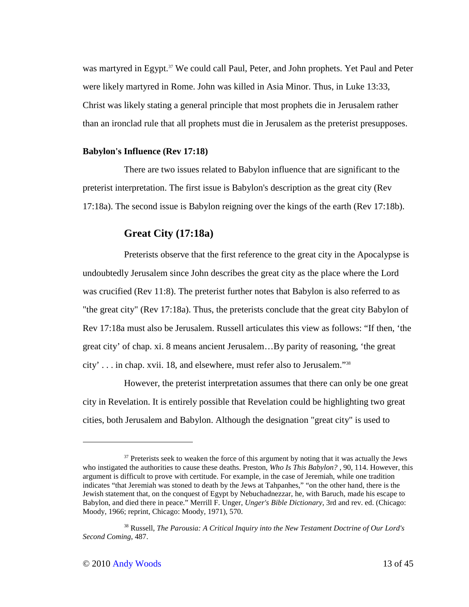was martyred in Egypt.<sup>37</sup> We could call Paul, Peter, and John prophets. Yet Paul and Peter were likely martyred in Rome. John was killed in Asia Minor. Thus, in Luke 13:33, Christ was likely stating a general principle that most prophets die in Jerusalem rather than an ironclad rule that all prophets must die in Jerusalem as the preterist presupposes.

#### **Babylon's Influence (Rev 17:18)**

There are two issues related to Babylon influence that are significant to the preterist interpretation. The first issue is Babylon's description as the great city (Rev 17:18a). The second issue is Babylon reigning over the kings of the earth (Rev 17:18b).

# **Great City (17:18a)**

Preterists observe that the first reference to the great city in the Apocalypse is undoubtedly Jerusalem since John describes the great city as the place where the Lord was crucified (Rev 11:8). The preterist further notes that Babylon is also referred to as "the great city" (Rev 17:18a). Thus, the preterists conclude that the great city Babylon of Rev 17:18a must also be Jerusalem. Russell articulates this view as follows: "If then, 'the great city' of chap. xi. 8 means ancient Jerusalem…By parity of reasoning, 'the great city' . . . in chap. xvii. 18, and elsewhere, must refer also to Jerusalem."<sup>38</sup>

However, the preterist interpretation assumes that there can only be one great city in Revelation. It is entirely possible that Revelation could be highlighting two great cities, both Jerusalem and Babylon. Although the designation "great city" is used to

-

 $37$  Preterists seek to weaken the force of this argument by noting that it was actually the Jews who instigated the authorities to cause these deaths. Preston, *Who Is This Babylon?*, 90, 114. However, this argument is difficult to prove with certitude. For example, in the case of Jeremiah, while one tradition indicates "that Jeremiah was stoned to death by the Jews at Tahpanhes," "on the other hand, there is the Jewish statement that, on the conquest of Egypt by Nebuchadnezzar, he, with Baruch, made his escape to Babylon, and died there in peace." Merrill F. Unger, *Unger's Bible Dictionary*, 3rd and rev. ed. (Chicago: Moody, 1966; reprint, Chicago: Moody, 1971), 570.

<sup>38</sup> Russell, *The Parousia: A Critical Inquiry into the New Testament Doctrine of Our Lord's Second Coming*, 487.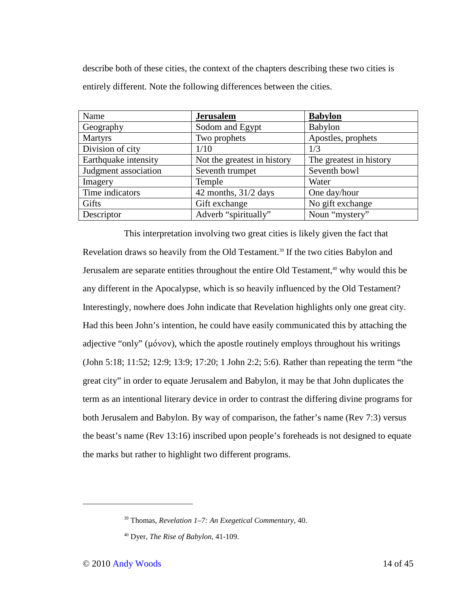describe both of these cities, the context of the chapters describing these two cities is entirely different. Note the following differences between the cities.

| Name                 | <b>Jerusalem</b>            | <b>Babylon</b>          |
|----------------------|-----------------------------|-------------------------|
| Geography            | Sodom and Egypt             | Babylon                 |
| <b>Martyrs</b>       | Two prophets                | Apostles, prophets      |
| Division of city     | 1/10                        | 1/3                     |
| Earthquake intensity | Not the greatest in history | The greatest in history |
| Judgment association | Seventh trumpet             | Seventh bowl            |
| Imagery              | Temple                      | Water                   |
| Time indicators      | 42 months, $31/2$ days      | One day/hour            |
| Gifts                | Gift exchange               | No gift exchange        |
| Descriptor           | Adverb "spiritually"        | Noun "mystery"          |

This interpretation involving two great cities is likely given the fact that Revelation draws so heavily from the Old Testament.<sup>39</sup> If the two cities Babylon and Jerusalem are separate entities throughout the entire Old Testament,<sup>40</sup> why would this be any different in the Apocalypse, which is so heavily influenced by the Old Testament? Interestingly, nowhere does John indicate that Revelation highlights only one great city. Had this been John's intention, he could have easily communicated this by attaching the adjective "only" (μόνον), which the apostle routinely employs throughout his writings (John 5:18; 11:52; 12:9; 13:9; 17:20; 1 John 2:2; 5:6). Rather than repeating the term "the great city" in order to equate Jerusalem and Babylon, it may be that John duplicates the term as an intentional literary device in order to contrast the differing divine programs for both Jerusalem and Babylon. By way of comparison, the father's name (Rev 7:3) versus the beast's name (Rev 13:16) inscribed upon people's foreheads is not designed to equate the marks but rather to highlight two different programs.

<sup>39</sup> Thomas, *Revelation 1–7: An Exegetical Commentary*, 40.

<sup>40</sup> Dyer, *The Rise of Babylon*, 41-109.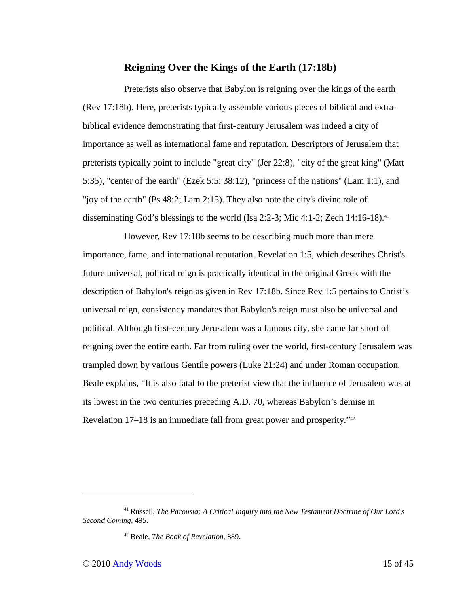# **Reigning Over the Kings of the Earth (17:18b)**

Preterists also observe that Babylon is reigning over the kings of the earth (Rev 17:18b). Here, preterists typically assemble various pieces of biblical and extrabiblical evidence demonstrating that first-century Jerusalem was indeed a city of importance as well as international fame and reputation. Descriptors of Jerusalem that preterists typically point to include "great city" (Jer 22:8), "city of the great king" (Matt 5:35), "center of the earth" (Ezek 5:5; 38:12), "princess of the nations" (Lam 1:1), and "joy of the earth" (Ps 48:2; Lam 2:15). They also note the city's divine role of disseminating God's blessings to the world (Isa 2:2-3; Mic 4:1-2; Zech 14:16-18).<sup>41</sup>

However, Rev 17:18b seems to be describing much more than mere importance, fame, and international reputation. Revelation 1:5, which describes Christ's future universal, political reign is practically identical in the original Greek with the description of Babylon's reign as given in Rev 17:18b. Since Rev 1:5 pertains to Christ's universal reign, consistency mandates that Babylon's reign must also be universal and political. Although first-century Jerusalem was a famous city, she came far short of reigning over the entire earth. Far from ruling over the world, first-century Jerusalem was trampled down by various Gentile powers (Luke 21:24) and under Roman occupation. Beale explains, "It is also fatal to the preterist view that the influence of Jerusalem was at its lowest in the two centuries preceding A.D. 70, whereas Babylon's demise in Revelation 17–18 is an immediate fall from great power and prosperity."<sup>42</sup>

<sup>41</sup> Russell, *The Parousia: A Critical Inquiry into the New Testament Doctrine of Our Lord's Second Coming*, 495.

<sup>42</sup> Beale, *The Book of Revelation*, 889.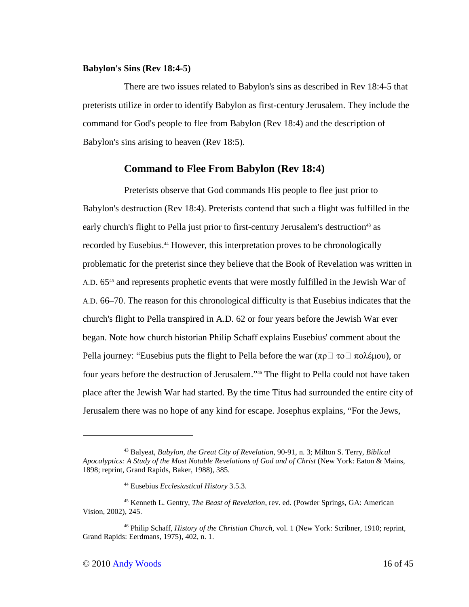#### **Babylon's Sins (Rev 18:4-5)**

There are two issues related to Babylon's sins as described in Rev 18:4-5 that preterists utilize in order to identify Babylon as first-century Jerusalem. They include the command for God's people to flee from Babylon (Rev 18:4) and the description of Babylon's sins arising to heaven (Rev 18:5).

### **Command to Flee From Babylon (Rev 18:4)**

Preterists observe that God commands His people to flee just prior to Babylon's destruction (Rev 18:4). Preterists contend that such a flight was fulfilled in the early church's flight to Pella just prior to first-century Jerusalem's destruction<sup>43</sup> as recorded by Eusebius.44 However, this interpretation proves to be chronologically problematic for the preterist since they believe that the Book of Revelation was written in A.D. 65<sup>45</sup> and represents prophetic events that were mostly fulfilled in the Jewish War of A.D. 66–70. The reason for this chronological difficulty is that Eusebius indicates that the church's flight to Pella transpired in A.D. 62 or four years before the Jewish War ever began. Note how church historian Philip Schaff explains Eusebius' comment about the Pella journey: "Eusebius puts the flight to Pella before the war (πρ $\Box$  το $\Box$  πολέμου), or four years before the destruction of Jerusalem."46 The flight to Pella could not have taken place after the Jewish War had started. By the time Titus had surrounded the entire city of Jerusalem there was no hope of any kind for escape. Josephus explains, "For the Jews,

<sup>43</sup> Balyeat, *Babylon, the Great City of Revelation*, 90-91, n. 3; Milton S. Terry, *Biblical Apocalyptics: A Study of the Most Notable Revelations of God and of Christ* (New York: Eaton & Mains, 1898; reprint, Grand Rapids, Baker, 1988), 385.

<sup>44</sup> Eusebius *Ecclesiastical History* 3.5.3.

<sup>45</sup> Kenneth L. Gentry, *The Beast of Revelation*, rev. ed. (Powder Springs, GA: American Vision, 2002), 245.

<sup>46</sup> Philip Schaff, *History of the Christian Church*, vol. 1 (New York: Scribner, 1910; reprint, Grand Rapids: Eerdmans, 1975), 402, n. 1.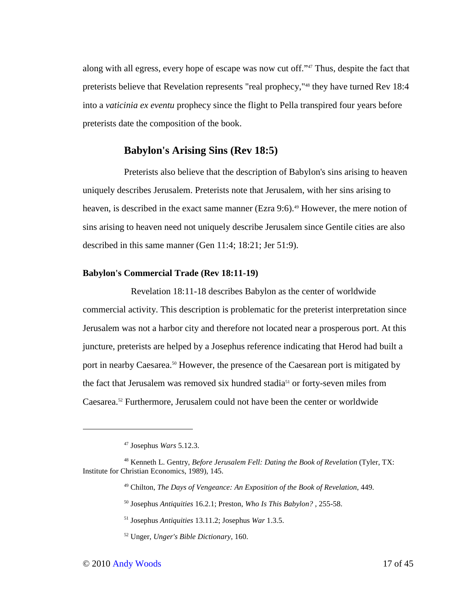along with all egress, every hope of escape was now cut off."47 Thus, despite the fact that preterists believe that Revelation represents "real prophecy,"48 they have turned Rev 18:4 into a *vaticinia ex eventu* prophecy since the flight to Pella transpired four years before preterists date the composition of the book.

# **Babylon's Arising Sins (Rev 18:5)**

Preterists also believe that the description of Babylon's sins arising to heaven uniquely describes Jerusalem. Preterists note that Jerusalem, with her sins arising to heaven, is described in the exact same manner (Ezra 9:6).<sup>49</sup> However, the mere notion of sins arising to heaven need not uniquely describe Jerusalem since Gentile cities are also described in this same manner (Gen 11:4; 18:21; Jer 51:9).

# **Babylon's Commercial Trade (Rev 18:11-19)**

 Revelation 18:11-18 describes Babylon as the center of worldwide commercial activity. This description is problematic for the preterist interpretation since Jerusalem was not a harbor city and therefore not located near a prosperous port. At this juncture, preterists are helped by a Josephus reference indicating that Herod had built a port in nearby Caesarea.<sup>50</sup> However, the presence of the Caesarean port is mitigated by the fact that Jerusalem was removed six hundred stadia<sup>51</sup> or forty-seven miles from Caesarea.52 Furthermore, Jerusalem could not have been the center or worldwide

<sup>50</sup> Josephus *Antiquities* 16.2.1; Preston, *Who Is This Babylon?* , 255-58.

<sup>47</sup> Josephus *Wars* 5.12.3.

<sup>48</sup> Kenneth L. Gentry, *Before Jerusalem Fell: Dating the Book of Revelation* (Tyler, TX: Institute for Christian Economics, 1989), 145.

<sup>49</sup> Chilton, *The Days of Vengeance: An Exposition of the Book of Revelation*, 449.

<sup>51</sup> Josephus *Antiquities* 13.11.2; Josephus *War* 1.3.5.

<sup>52</sup> Unger, *Unger's Bible Dictionary*, 160.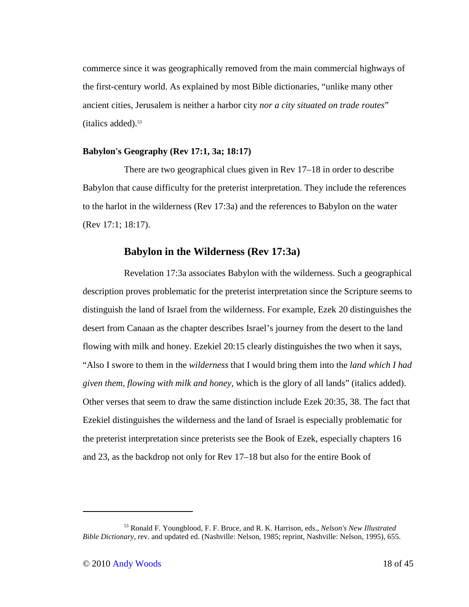commerce since it was geographically removed from the main commercial highways of the first-century world. As explained by most Bible dictionaries, "unlike many other ancient cities, Jerusalem is neither a harbor city *nor a city situated on trade routes*"  $(italics added).$ <sup>53</sup>

### **Babylon's Geography (Rev 17:1, 3a; 18:17)**

There are two geographical clues given in Rev 17–18 in order to describe Babylon that cause difficulty for the preterist interpretation. They include the references to the harlot in the wilderness (Rev 17:3a) and the references to Babylon on the water (Rev 17:1; 18:17).

# **Babylon in the Wilderness (Rev 17:3a)**

Revelation 17:3a associates Babylon with the wilderness. Such a geographical description proves problematic for the preterist interpretation since the Scripture seems to distinguish the land of Israel from the wilderness. For example, Ezek 20 distinguishes the desert from Canaan as the chapter describes Israel's journey from the desert to the land flowing with milk and honey. Ezekiel 20:15 clearly distinguishes the two when it says, "Also I swore to them in the *wilderness* that I would bring them into the *land which I had given them, flowing with milk and honey*, which is the glory of all lands" (italics added). Other verses that seem to draw the same distinction include Ezek 20:35, 38. The fact that Ezekiel distinguishes the wilderness and the land of Israel is especially problematic for the preterist interpretation since preterists see the Book of Ezek, especially chapters 16 and 23, as the backdrop not only for Rev 17–18 but also for the entire Book of

<sup>53</sup> Ronald F. Youngblood, F. F. Bruce, and R. K. Harrison, eds., *Nelson's New Illustrated Bible Dictionary*, rev. and updated ed. (Nashville: Nelson, 1985; reprint, Nashville: Nelson, 1995), 655.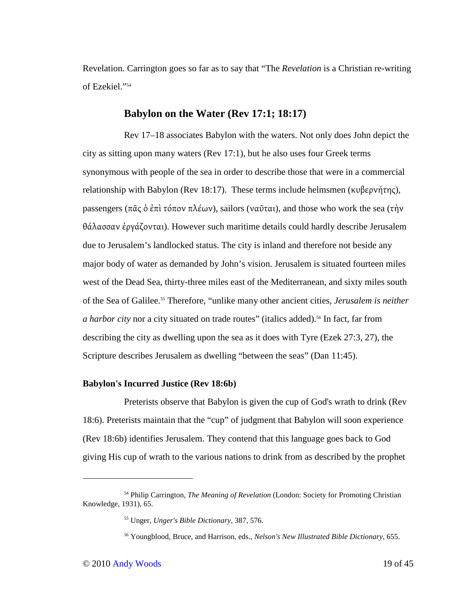Revelation. Carrington goes so far as to say that "The *Revelation* is a Christian re-writing of Ezekiel."<sup>54</sup>

## **Babylon on the Water (Rev 17:1; 18:17)**

Rev 17–18 associates Babylon with the waters. Not only does John depict the city as sitting upon many waters (Rev 17:1), but he also uses four Greek terms synonymous with people of the sea in order to describe those that were in a commercial relationship with Babylon (Rev 18:17). These terms include helmsmen (κυβερνήτης), passengers (πᾶς ὁ ἐπὶ τόπον πλέων), sailors (ναῦται), and those who work the sea (τὴν θάλασσαν ἐργάζονται). However such maritime details could hardly describe Jerusalem due to Jerusalem's landlocked status. The city is inland and therefore not beside any major body of water as demanded by John's vision. Jerusalem is situated fourteen miles west of the Dead Sea, thirty-three miles east of the Mediterranean, and sixty miles south of the Sea of Galilee.55 Therefore, "unlike many other ancient cities, *Jerusalem is neither a harbor city* nor a city situated on trade routes" (italics added).<sup>56</sup> In fact, far from describing the city as dwelling upon the sea as it does with Tyre (Ezek 27:3, 27), the Scripture describes Jerusalem as dwelling "between the seas" (Dan 11:45).

### **Babylon's Incurred Justice (Rev 18:6b)**

Preterists observe that Babylon is given the cup of God's wrath to drink (Rev 18:6). Preterists maintain that the "cup" of judgment that Babylon will soon experience (Rev 18:6b) identifies Jerusalem. They contend that this language goes back to God giving His cup of wrath to the various nations to drink from as described by the prophet

<sup>54</sup> Philip Carrington, *The Meaning of Revelation* (London: Society for Promoting Christian Knowledge, 1931), 65.

<sup>55</sup> Unger, *Unger's Bible Dictionary*, 387, 576.

<sup>56</sup> Youngblood, Bruce, and Harrison, eds., *Nelson's New Illustrated Bible Dictionary*, 655.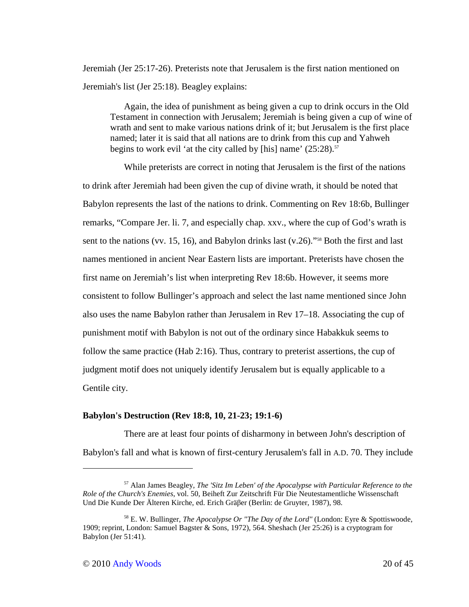Jeremiah (Jer 25:17-26). Preterists note that Jerusalem is the first nation mentioned on Jeremiah's list (Jer 25:18). Beagley explains:

Again, the idea of punishment as being given a cup to drink occurs in the Old Testament in connection with Jerusalem; Jeremiah is being given a cup of wine of wrath and sent to make various nations drink of it; but Jerusalem is the first place named; later it is said that all nations are to drink from this cup and Yahweh begins to work evil 'at the city called by [his] name'  $(25:28)$ .<sup>57</sup>

While preterists are correct in noting that Jerusalem is the first of the nations to drink after Jeremiah had been given the cup of divine wrath, it should be noted that Babylon represents the last of the nations to drink. Commenting on Rev 18:6b, Bullinger remarks, "Compare Jer. li. 7, and especially chap. xxv., where the cup of God's wrath is sent to the nations (vv. 15, 16), and Babylon drinks last  $(v.26)$ ."<sup>58</sup> Both the first and last names mentioned in ancient Near Eastern lists are important. Preterists have chosen the first name on Jeremiah's list when interpreting Rev 18:6b. However, it seems more consistent to follow Bullinger's approach and select the last name mentioned since John also uses the name Babylon rather than Jerusalem in Rev 17–18. Associating the cup of punishment motif with Babylon is not out of the ordinary since Habakkuk seems to follow the same practice (Hab 2:16). Thus, contrary to preterist assertions, the cup of judgment motif does not uniquely identify Jerusalem but is equally applicable to a Gentile city.

### **Babylon's Destruction (Rev 18:8, 10, 21-23; 19:1-6)**

There are at least four points of disharmony in between John's description of Babylon's fall and what is known of first-century Jerusalem's fall in A.D. 70. They include

<sup>57</sup> Alan James Beagley, *The 'Sitz Im Leben' of the Apocalypse with Particular Reference to the Role of the Church's Enemies*, vol. 50, Beiheft Zur Zeitschrift Für Die Neutestamentliche Wissenschaft Und Die Kunde Der Älteren Kirche, ed. Erich Gräβer (Berlin: de Gruyter, 1987), 98.

<sup>58</sup> E. W. Bullinger, *The Apocalypse Or "The Day of the Lord"* (London: Eyre & Spottiswoode, 1909; reprint, London: Samuel Bagster & Sons, 1972), 564. Sheshach (Jer 25:26) is a cryptogram for Babylon (Jer 51:41).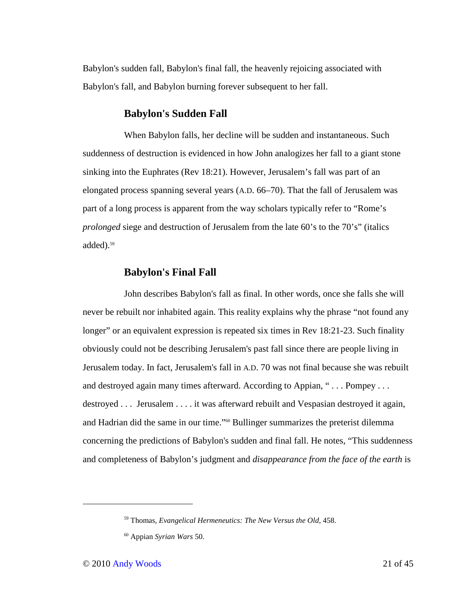Babylon's sudden fall, Babylon's final fall, the heavenly rejoicing associated with Babylon's fall, and Babylon burning forever subsequent to her fall.

# **Babylon's Sudden Fall**

When Babylon falls, her decline will be sudden and instantaneous. Such suddenness of destruction is evidenced in how John analogizes her fall to a giant stone sinking into the Euphrates (Rev 18:21). However, Jerusalem's fall was part of an elongated process spanning several years (A.D. 66–70). That the fall of Jerusalem was part of a long process is apparent from the way scholars typically refer to "Rome's *prolonged* siege and destruction of Jerusalem from the late 60's to the 70's" (italics added).<sup>59</sup>

# **Babylon's Final Fall**

John describes Babylon's fall as final. In other words, once she falls she will never be rebuilt nor inhabited again. This reality explains why the phrase "not found any longer" or an equivalent expression is repeated six times in Rev 18:21-23. Such finality obviously could not be describing Jerusalem's past fall since there are people living in Jerusalem today. In fact, Jerusalem's fall in A.D. 70 was not final because she was rebuilt and destroyed again many times afterward. According to Appian, "... Pompey ... destroyed . . . Jerusalem . . . . it was afterward rebuilt and Vespasian destroyed it again, and Hadrian did the same in our time."60 Bullinger summarizes the preterist dilemma concerning the predictions of Babylon's sudden and final fall. He notes, "This suddenness and completeness of Babylon's judgment and *disappearance from the face of the earth* is

<sup>59</sup> Thomas, *Evangelical Hermeneutics: The New Versus the Old*, 458.

<sup>60</sup> Appian *Syrian Wars* 50.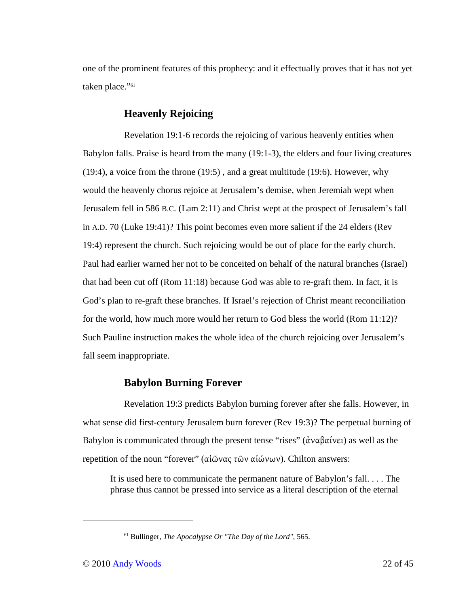one of the prominent features of this prophecy: and it effectually proves that it has not yet taken place."<sup>61</sup>

# **Heavenly Rejoicing**

Revelation 19:1-6 records the rejoicing of various heavenly entities when Babylon falls. Praise is heard from the many (19:1-3), the elders and four living creatures (19:4), a voice from the throne (19:5) , and a great multitude (19:6). However, why would the heavenly chorus rejoice at Jerusalem's demise, when Jeremiah wept when Jerusalem fell in 586 B.C. (Lam 2:11) and Christ wept at the prospect of Jerusalem's fall in A.D. 70 (Luke 19:41)? This point becomes even more salient if the 24 elders (Rev 19:4) represent the church. Such rejoicing would be out of place for the early church. Paul had earlier warned her not to be conceited on behalf of the natural branches (Israel) that had been cut off (Rom 11:18) because God was able to re-graft them. In fact, it is God's plan to re-graft these branches. If Israel's rejection of Christ meant reconciliation for the world, how much more would her return to God bless the world (Rom 11:12)? Such Pauline instruction makes the whole idea of the church rejoicing over Jerusalem's fall seem inappropriate.

# **Babylon Burning Forever**

Revelation 19:3 predicts Babylon burning forever after she falls. However, in what sense did first-century Jerusalem burn forever (Rev 19:3)? The perpetual burning of Babylon is communicated through the present tense "rises" (ἀναβαίνει) as well as the repetition of the noun "forever" (αἰῶνας τῶν αἰώνων). Chilton answers:

It is used here to communicate the permanent nature of Babylon's fall. . . . The phrase thus cannot be pressed into service as a literal description of the eternal

<sup>61</sup> Bullinger, *The Apocalypse Or "The Day of the Lord"*, 565.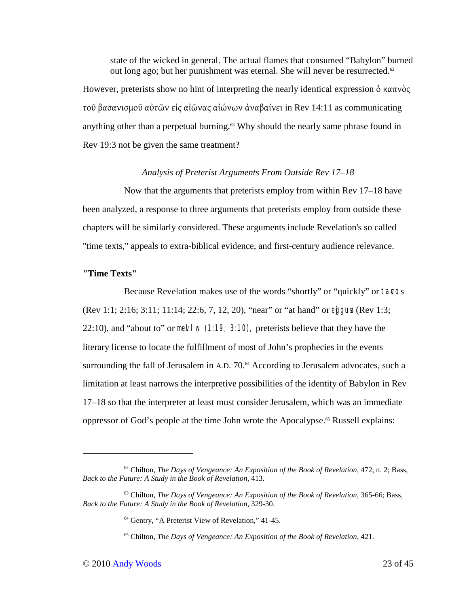state of the wicked in general. The actual flames that consumed "Babylon" burned out long ago; but her punishment was eternal. She will never be resurrected.<sup>62</sup> However, preterists show no hint of interpreting the nearly identical expression δ καπνὸς τοῦ βασανισμοῦ αὐτῶν εἰς αἰῶνας αἰώνων ἀναβαίνει in Rev 14:11 as communicating

anything other than a perpetual burning.<sup>63</sup> Why should the nearly same phrase found in Rev 19:3 not be given the same treatment?

### *Analysis of Preterist Arguments From Outside Rev 17–18*

Now that the arguments that preterists employ from within Rev 17–18 have been analyzed, a response to three arguments that preterists employ from outside these chapters will be similarly considered. These arguments include Revelation's so called "time texts," appeals to extra-biblical evidence, and first-century audience relevance.

### **"Time Texts"**

Because Revelation makes use of the words "shortly" or "quickly" or tavos (Rev 1:1; 2:16; 3:11; 11:14; 22:6, 7, 12, 20), "near" or "at hand" or egguy (Rev 1:3; 22:10), and "about to" or mevl w  $(1:19; 3:10)$ , preterists believe that they have the literary license to locate the fulfillment of most of John's prophecies in the events surrounding the fall of Jerusalem in A.D. 70.<sup>64</sup> According to Jerusalem advocates, such a limitation at least narrows the interpretive possibilities of the identity of Babylon in Rev 17–18 so that the interpreter at least must consider Jerusalem, which was an immediate oppressor of God's people at the time John wrote the Apocalypse.65 Russell explains:

<sup>62</sup> Chilton, *The Days of Vengeance: An Exposition of the Book of Revelation*, 472, n. 2; Bass, *Back to the Future: A Study in the Book of Revelation*, 413.

<sup>63</sup> Chilton, *The Days of Vengeance: An Exposition of the Book of Revelation*, 365-66; Bass, *Back to the Future: A Study in the Book of Revelation*, 329-30.

<sup>64</sup> Gentry, "A Preterist View of Revelation," 41-45.

<sup>65</sup> Chilton, *The Days of Vengeance: An Exposition of the Book of Revelation*, 421.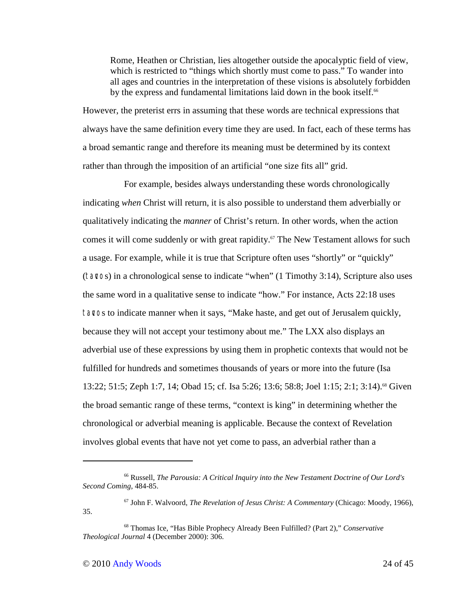Rome, Heathen or Christian, lies altogether outside the apocalyptic field of view, which is restricted to "things which shortly must come to pass." To wander into all ages and countries in the interpretation of these visions is absolutely forbidden by the express and fundamental limitations laid down in the book itself.<sup>66</sup>

However, the preterist errs in assuming that these words are technical expressions that always have the same definition every time they are used. In fact, each of these terms has a broad semantic range and therefore its meaning must be determined by its context rather than through the imposition of an artificial "one size fits all" grid.

For example, besides always understanding these words chronologically indicating *when* Christ will return, it is also possible to understand them adverbially or qualitatively indicating the *manner* of Christ's return. In other words, when the action comes it will come suddenly or with great rapidity.<sup>67</sup> The New Testament allows for such a usage. For example, while it is true that Scripture often uses "shortly" or "quickly" (tavcos) in a chronological sense to indicate "when" (1 Timothy 3:14), Scripture also uses the same word in a qualitative sense to indicate "how." For instance, Acts 22:18 uses tavos to indicate manner when it says, "Make haste, and get out of Jerusalem quickly, because they will not accept your testimony about me." The LXX also displays an adverbial use of these expressions by using them in prophetic contexts that would not be fulfilled for hundreds and sometimes thousands of years or more into the future (Isa 13:22; 51:5; Zeph 1:7, 14; Obad 15; cf. Isa 5:26; 13:6; 58:8; Joel 1:15; 2:1; 3:14).<sup>68</sup> Given the broad semantic range of these terms, "context is king" in determining whether the chronological or adverbial meaning is applicable. Because the context of Revelation involves global events that have not yet come to pass, an adverbial rather than a

<sup>66</sup> Russell, *The Parousia: A Critical Inquiry into the New Testament Doctrine of Our Lord's Second Coming*, 484-85.

<sup>67</sup> John F. Walvoord, *The Revelation of Jesus Christ: A Commentary* (Chicago: Moody, 1966), 35.

<sup>68</sup> Thomas Ice, "Has Bible Prophecy Already Been Fulfilled? (Part 2)," *Conservative Theological Journal* 4 (December 2000): 306.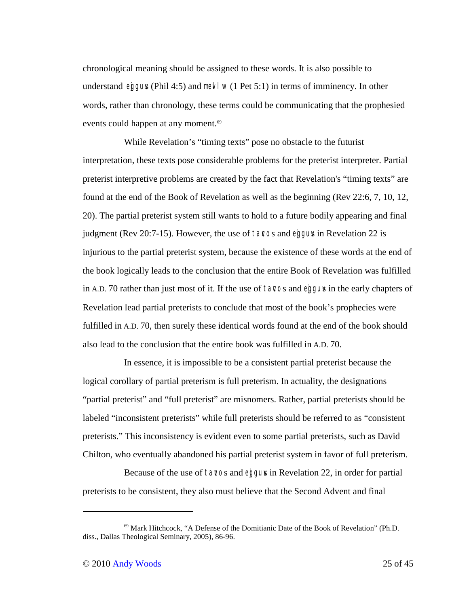chronological meaning should be assigned to these words. It is also possible to understand eggus (Phil 4:5) and mevel w (1 Pet 5:1) in terms of imminency. In other words, rather than chronology, these terms could be communicating that the prophesied events could happen at any moment.<sup>69</sup>

While Revelation's "timing texts" pose no obstacle to the futurist interpretation, these texts pose considerable problems for the preterist interpreter. Partial preterist interpretive problems are created by the fact that Revelation's "timing texts" are found at the end of the Book of Revelation as well as the beginning (Rev 22:6, 7, 10, 12, 20). The partial preterist system still wants to hold to a future bodily appearing and final judgment (Rev 20:7-15). However, the use of tavos and egguv in Revelation 22 is injurious to the partial preterist system, because the existence of these words at the end of the book logically leads to the conclusion that the entire Book of Revelation was fulfilled in A.D. 70 rather than just most of it. If the use of tavos and eggus in the early chapters of Revelation lead partial preterists to conclude that most of the book's prophecies were fulfilled in A.D. 70, then surely these identical words found at the end of the book should also lead to the conclusion that the entire book was fulfilled in A.D. 70.

In essence, it is impossible to be a consistent partial preterist because the logical corollary of partial preterism is full preterism. In actuality, the designations "partial preterist" and "full preterist" are misnomers. Rather, partial preterists should be labeled "inconsistent preterists" while full preterists should be referred to as "consistent preterists." This inconsistency is evident even to some partial preterists, such as David Chilton, who eventually abandoned his partial preterist system in favor of full preterism.

Because of the use of tavos and eggus in Revelation 22, in order for partial preterists to be consistent, they also must believe that the Second Advent and final

<sup>69</sup> Mark Hitchcock, "A Defense of the Domitianic Date of the Book of Revelation" (Ph.D. diss., Dallas Theological Seminary, 2005), 86-96.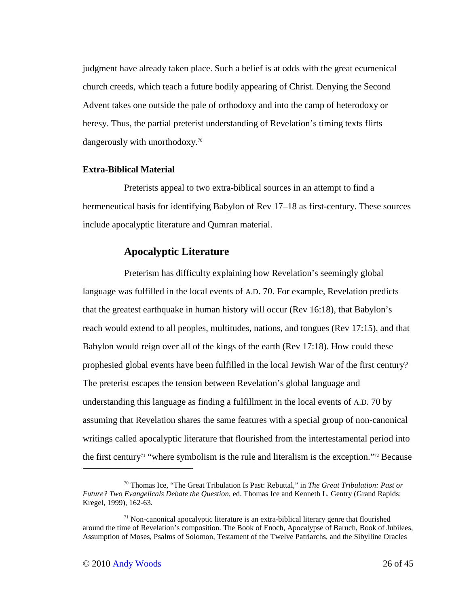judgment have already taken place. Such a belief is at odds with the great ecumenical church creeds, which teach a future bodily appearing of Christ. Denying the Second Advent takes one outside the pale of orthodoxy and into the camp of heterodoxy or heresy. Thus, the partial preterist understanding of Revelation's timing texts flirts dangerously with unorthodoxy.<sup>70</sup>

### **Extra-Biblical Material**

Preterists appeal to two extra-biblical sources in an attempt to find a hermeneutical basis for identifying Babylon of Rev 17–18 as first-century. These sources include apocalyptic literature and Qumran material.

# **Apocalyptic Literature**

Preterism has difficulty explaining how Revelation's seemingly global language was fulfilled in the local events of A.D. 70. For example, Revelation predicts that the greatest earthquake in human history will occur (Rev 16:18), that Babylon's reach would extend to all peoples, multitudes, nations, and tongues (Rev 17:15), and that Babylon would reign over all of the kings of the earth (Rev 17:18). How could these prophesied global events have been fulfilled in the local Jewish War of the first century? The preterist escapes the tension between Revelation's global language and understanding this language as finding a fulfillment in the local events of A.D. 70 by assuming that Revelation shares the same features with a special group of non-canonical writings called apocalyptic literature that flourished from the intertestamental period into the first century<sup>71</sup> "where symbolism is the rule and literalism is the exception."<sup>72</sup> Because

<sup>70</sup> Thomas Ice, "The Great Tribulation Is Past: Rebuttal," in *The Great Tribulation: Past or Future? Two Evangelicals Debate the Question*, ed. Thomas Ice and Kenneth L. Gentry (Grand Rapids: Kregel, 1999), 162-63.

 $71$  Non-canonical apocalyptic literature is an extra-biblical literary genre that flourished around the time of Revelation's composition. The Book of Enoch, Apocalypse of Baruch, Book of Jubilees, Assumption of Moses, Psalms of Solomon, Testament of the Twelve Patriarchs, and the Sibylline Oracles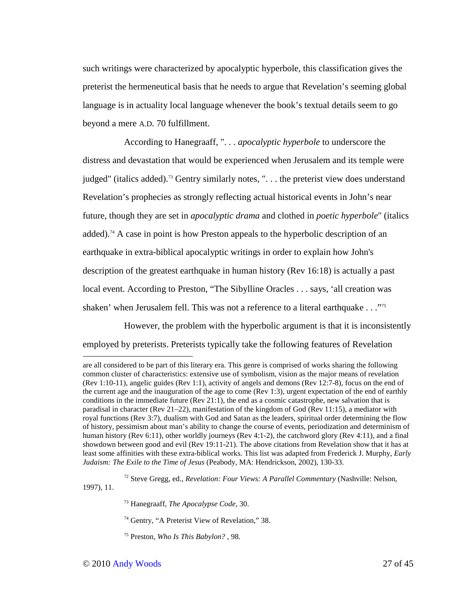such writings were characterized by apocalyptic hyperbole, this classification gives the preterist the hermeneutical basis that he needs to argue that Revelation's seeming global language is in actuality local language whenever the book's textual details seem to go beyond a mere A.D. 70 fulfillment.

According to Hanegraaff, ". . . *apocalyptic hyperbole* to underscore the distress and devastation that would be experienced when Jerusalem and its temple were judged" (italics added).<sup>73</sup> Gentry similarly notes, ". . . the preterist view does understand Revelation's prophecies as strongly reflecting actual historical events in John's near future, though they are set in *apocalyptic drama* and clothed in *poetic hyperbole*" (italics added).<sup>74</sup> A case in point is how Preston appeals to the hyperbolic description of an earthquake in extra-biblical apocalyptic writings in order to explain how John's description of the greatest earthquake in human history (Rev 16:18) is actually a past local event. According to Preston, "The Sibylline Oracles . . . says, 'all creation was shaken' when Jerusalem fell. This was not a reference to a literal earthquake . . ."<sup>75</sup>

However, the problem with the hyperbolic argument is that it is inconsistently employed by preterists. Preterists typically take the following features of Revelation

<sup>72</sup> Steve Gregg, ed., *Revelation: Four Views: A Parallel Commentary* (Nashville: Nelson, 1997), 11.

- <sup>73</sup> Hanegraaff, *The Apocalypse Code*, 30.
- <sup>74</sup> Gentry, "A Preterist View of Revelation," 38.
- 75 Preston, *Who Is This Babylon?* , 98.

are all considered to be part of this literary era. This genre is comprised of works sharing the following common cluster of characteristics: extensive use of symbolism, vision as the major means of revelation (Rev 1:10-11), angelic guides (Rev 1:1), activity of angels and demons (Rev 12:7-8), focus on the end of the current age and the inauguration of the age to come (Rev 1:3), urgent expectation of the end of earthly conditions in the immediate future (Rev 21:1), the end as a cosmic catastrophe, new salvation that is paradisal in character (Rev 21–22), manifestation of the kingdom of God (Rev 11:15), a mediator with royal functions (Rev 3:7), dualism with God and Satan as the leaders, spiritual order determining the flow of history, pessimism about man's ability to change the course of events, periodization and determinism of human history (Rev 6:11), other worldly journeys (Rev 4:1-2), the catchword glory (Rev 4:11), and a final showdown between good and evil (Rev 19:11-21). The above citations from Revelation show that it has at least some affinities with these extra-biblical works. This list was adapted from Frederick J. Murphy, *Early Judaism: The Exile to the Time of Jesus* (Peabody, MA: Hendrickson, 2002), 130-33.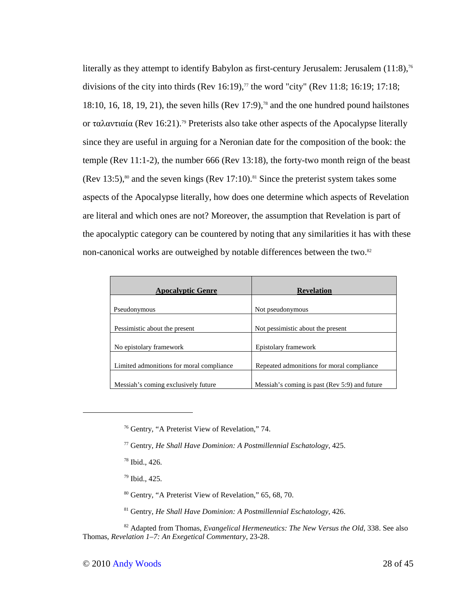literally as they attempt to identify Babylon as first-century Jerusalem: Jerusalem  $(11:8)$ ,<sup>76</sup> divisions of the city into thirds (Rev 16:19),<sup>77</sup> the word "city" (Rev 11:8; 16:19; 17:18; 18:10, 16, 18, 19, 21), the seven hills (Rev 17:9),<sup>78</sup> and the one hundred pound hailstones or ταλαντιαία (Rev 16:21).79 Preterists also take other aspects of the Apocalypse literally since they are useful in arguing for a Neronian date for the composition of the book: the temple (Rev 11:1-2), the number 666 (Rev 13:18), the forty-two month reign of the beast (Rev 13:5),<sup>80</sup> and the seven kings (Rev 17:10).<sup>81</sup> Since the preterist system takes some aspects of the Apocalypse literally, how does one determine which aspects of Revelation are literal and which ones are not? Moreover, the assumption that Revelation is part of the apocalyptic category can be countered by noting that any similarities it has with these non-canonical works are outweighed by notable differences between the two.<sup>82</sup>

| <b>Apocalyptic Genre</b>                 | <b>Revelation</b>                             |
|------------------------------------------|-----------------------------------------------|
| Pseudonymous                             | Not pseudonymous                              |
| Pessimistic about the present            | Not pessimistic about the present             |
| No epistolary framework                  | Epistolary framework                          |
| Limited admonitions for moral compliance | Repeated admonitions for moral compliance     |
| Messiah's coming exclusively future      | Messiah's coming is past (Rev 5:9) and future |

- <sup>79</sup> Ibid., 425.
- <sup>80</sup> Gentry, "A Preterist View of Revelation," 65, 68, 70.
- <sup>81</sup> Gentry, *He Shall Have Dominion: A Postmillennial Eschatology*, 426.

<sup>82</sup> Adapted from Thomas, *Evangelical Hermeneutics: The New Versus the Old*, 338. See also Thomas, *Revelation 1–7: An Exegetical Commentary*, 23-28.

<sup>76</sup> Gentry, "A Preterist View of Revelation," 74.

<sup>77</sup> Gentry, *He Shall Have Dominion: A Postmillennial Eschatology*, 425.

<sup>78</sup> Ibid., 426.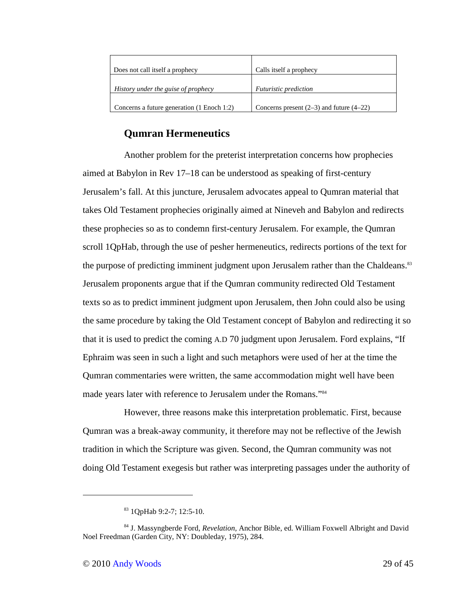| Does not call itself a prophecy            | Calls itself a prophecy                      |
|--------------------------------------------|----------------------------------------------|
| History under the guise of prophecy        | <i>Futuristic prediction</i>                 |
| Concerns a future generation (1 Enoch 1:2) | Concerns present $(2-3)$ and future $(4-22)$ |

# **Qumran Hermeneutics**

Another problem for the preterist interpretation concerns how prophecies aimed at Babylon in Rev 17–18 can be understood as speaking of first-century Jerusalem's fall. At this juncture, Jerusalem advocates appeal to Qumran material that takes Old Testament prophecies originally aimed at Nineveh and Babylon and redirects these prophecies so as to condemn first-century Jerusalem. For example, the Qumran scroll 1QpHab, through the use of pesher hermeneutics, redirects portions of the text for the purpose of predicting imminent judgment upon Jerusalem rather than the Chaldeans.<sup>83</sup> Jerusalem proponents argue that if the Qumran community redirected Old Testament texts so as to predict imminent judgment upon Jerusalem, then John could also be using the same procedure by taking the Old Testament concept of Babylon and redirecting it so that it is used to predict the coming A.D 70 judgment upon Jerusalem. Ford explains, "If Ephraim was seen in such a light and such metaphors were used of her at the time the Qumran commentaries were written, the same accommodation might well have been made years later with reference to Jerusalem under the Romans."<sup>84</sup>

However, three reasons make this interpretation problematic. First, because Qumran was a break-away community, it therefore may not be reflective of the Jewish tradition in which the Scripture was given. Second, the Qumran community was not doing Old Testament exegesis but rather was interpreting passages under the authority of

-

<sup>83</sup> 1QpHab 9:2-7; 12:5-10.

<sup>84</sup> J. Massyngberde Ford, *Revelation*, Anchor Bible, ed. William Foxwell Albright and David Noel Freedman (Garden City, NY: Doubleday, 1975), 284.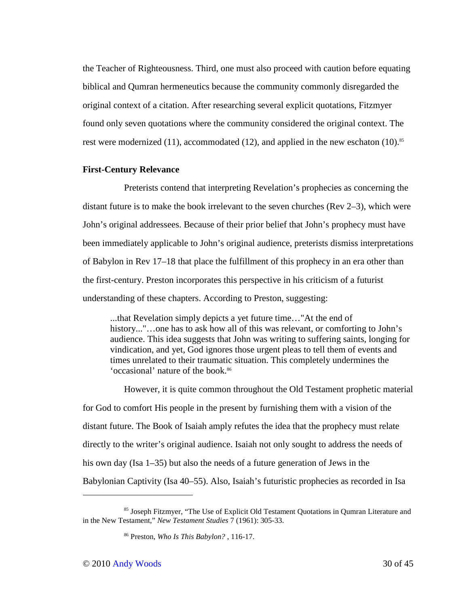the Teacher of Righteousness. Third, one must also proceed with caution before equating biblical and Qumran hermeneutics because the community commonly disregarded the original context of a citation. After researching several explicit quotations, Fitzmyer found only seven quotations where the community considered the original context. The rest were modernized (11), accommodated (12), and applied in the new eschaton (10).<sup>85</sup>

### **First-Century Relevance**

Preterists contend that interpreting Revelation's prophecies as concerning the distant future is to make the book irrelevant to the seven churches (Rev 2–3), which were John's original addressees. Because of their prior belief that John's prophecy must have been immediately applicable to John's original audience, preterists dismiss interpretations of Babylon in Rev 17–18 that place the fulfillment of this prophecy in an era other than the first-century. Preston incorporates this perspective in his criticism of a futurist understanding of these chapters. According to Preston, suggesting:

...that Revelation simply depicts a yet future time…"At the end of history..."...one has to ask how all of this was relevant, or comforting to John's audience. This idea suggests that John was writing to suffering saints, longing for vindication, and yet, God ignores those urgent pleas to tell them of events and times unrelated to their traumatic situation. This completely undermines the 'occasional' nature of the book.<sup>86</sup>

However, it is quite common throughout the Old Testament prophetic material for God to comfort His people in the present by furnishing them with a vision of the distant future. The Book of Isaiah amply refutes the idea that the prophecy must relate directly to the writer's original audience. Isaiah not only sought to address the needs of his own day (Isa 1–35) but also the needs of a future generation of Jews in the Babylonian Captivity (Isa 40–55). Also, Isaiah's futuristic prophecies as recorded in Isa

<sup>85</sup> Joseph Fitzmyer, "The Use of Explicit Old Testament Quotations in Qumran Literature and in the New Testament," *New Testament Studies* 7 (1961): 305-33.

<sup>86</sup> Preston, *Who Is This Babylon?* , 116-17.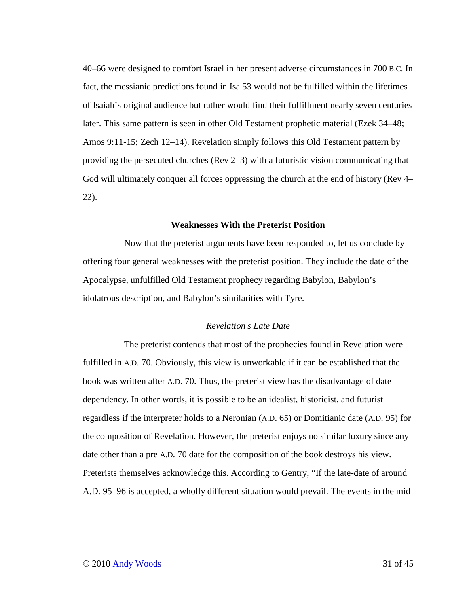40–66 were designed to comfort Israel in her present adverse circumstances in 700 B.C. In fact, the messianic predictions found in Isa 53 would not be fulfilled within the lifetimes of Isaiah's original audience but rather would find their fulfillment nearly seven centuries later. This same pattern is seen in other Old Testament prophetic material (Ezek 34–48; Amos 9:11-15; Zech 12–14). Revelation simply follows this Old Testament pattern by providing the persecuted churches (Rev 2–3) with a futuristic vision communicating that God will ultimately conquer all forces oppressing the church at the end of history (Rev 4– 22).

### **Weaknesses With the Preterist Position**

Now that the preterist arguments have been responded to, let us conclude by offering four general weaknesses with the preterist position. They include the date of the Apocalypse, unfulfilled Old Testament prophecy regarding Babylon, Babylon's idolatrous description, and Babylon's similarities with Tyre.

### *Revelation's Late Date*

The preterist contends that most of the prophecies found in Revelation were fulfilled in A.D. 70. Obviously, this view is unworkable if it can be established that the book was written after A.D. 70. Thus, the preterist view has the disadvantage of date dependency. In other words, it is possible to be an idealist, historicist, and futurist regardless if the interpreter holds to a Neronian (A.D. 65) or Domitianic date (A.D. 95) for the composition of Revelation. However, the preterist enjoys no similar luxury since any date other than a pre A.D. 70 date for the composition of the book destroys his view. Preterists themselves acknowledge this. According to Gentry, "If the late-date of around A.D. 95–96 is accepted, a wholly different situation would prevail. The events in the mid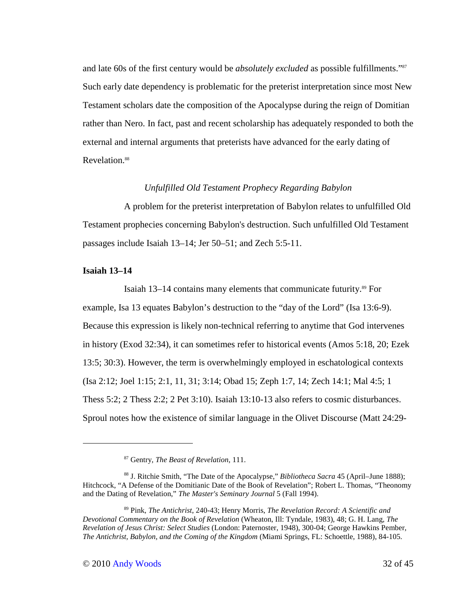and late 60s of the first century would be *absolutely excluded* as possible fulfillments."<sup>87</sup> Such early date dependency is problematic for the preterist interpretation since most New Testament scholars date the composition of the Apocalypse during the reign of Domitian rather than Nero. In fact, past and recent scholarship has adequately responded to both the external and internal arguments that preterists have advanced for the early dating of Revelation.<sup>88</sup>

### *Unfulfilled Old Testament Prophecy Regarding Babylon*

A problem for the preterist interpretation of Babylon relates to unfulfilled Old Testament prophecies concerning Babylon's destruction. Such unfulfilled Old Testament passages include Isaiah 13–14; Jer 50–51; and Zech 5:5-11.

### **Isaiah 13–14**

 $\overline{a}$ 

Isaiah 13–14 contains many elements that communicate futurity.89 For example, Isa 13 equates Babylon's destruction to the "day of the Lord" (Isa 13:6-9). Because this expression is likely non-technical referring to anytime that God intervenes in history (Exod 32:34), it can sometimes refer to historical events (Amos 5:18, 20; Ezek 13:5; 30:3). However, the term is overwhelmingly employed in eschatological contexts (Isa 2:12; Joel 1:15; 2:1, 11, 31; 3:14; Obad 15; Zeph 1:7, 14; Zech 14:1; Mal 4:5; 1 Thess 5:2; 2 Thess 2:2; 2 Pet 3:10). Isaiah 13:10-13 also refers to cosmic disturbances. Sproul notes how the existence of similar language in the Olivet Discourse (Matt 24:29-

<sup>87</sup> Gentry, *The Beast of Revelation*, 111.

<sup>88</sup> J. Ritchie Smith, "The Date of the Apocalypse," *Bibliotheca Sacra* 45 (April–June 1888); Hitchcock, "A Defense of the Domitianic Date of the Book of Revelation"; Robert L. Thomas, "Theonomy and the Dating of Revelation," *The Master's Seminary Journal* 5 (Fall 1994).

<sup>89</sup> Pink, *The Antichrist*, 240-43; Henry Morris, *The Revelation Record: A Scientific and Devotional Commentary on the Book of Revelation* (Wheaton, Ill: Tyndale, 1983), 48; G. H. Lang, *The Revelation of Jesus Christ: Select Studies* (London: Paternoster, 1948), 300-04; George Hawkins Pember, *The Antichrist, Babylon, and the Coming of the Kingdom* (Miami Springs, FL: Schoettle, 1988), 84-105.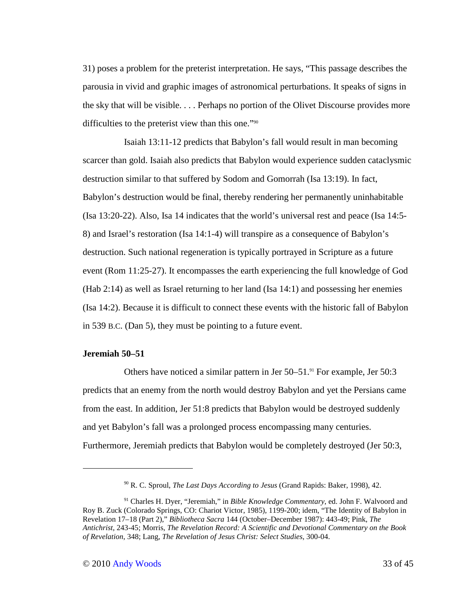31) poses a problem for the preterist interpretation. He says, "This passage describes the parousia in vivid and graphic images of astronomical perturbations. It speaks of signs in the sky that will be visible. . . . Perhaps no portion of the Olivet Discourse provides more difficulties to the preterist view than this one."<sup>90</sup>

Isaiah 13:11-12 predicts that Babylon's fall would result in man becoming scarcer than gold. Isaiah also predicts that Babylon would experience sudden cataclysmic destruction similar to that suffered by Sodom and Gomorrah (Isa 13:19). In fact, Babylon's destruction would be final, thereby rendering her permanently uninhabitable (Isa 13:20-22). Also, Isa 14 indicates that the world's universal rest and peace (Isa 14:5- 8) and Israel's restoration (Isa 14:1-4) will transpire as a consequence of Babylon's destruction. Such national regeneration is typically portrayed in Scripture as a future event (Rom 11:25-27). It encompasses the earth experiencing the full knowledge of God (Hab 2:14) as well as Israel returning to her land (Isa 14:1) and possessing her enemies (Isa 14:2). Because it is difficult to connect these events with the historic fall of Babylon in 539 B.C. (Dan 5), they must be pointing to a future event.

### **Jeremiah 50–51**

 $\overline{a}$ 

Others have noticed a similar pattern in Jer 50–51.91 For example, Jer 50:3 predicts that an enemy from the north would destroy Babylon and yet the Persians came from the east. In addition, Jer 51:8 predicts that Babylon would be destroyed suddenly and yet Babylon's fall was a prolonged process encompassing many centuries. Furthermore, Jeremiah predicts that Babylon would be completely destroyed (Jer 50:3,

<sup>90</sup> R. C. Sproul, *The Last Days According to Jesus* (Grand Rapids: Baker, 1998), 42.

<sup>91</sup> Charles H. Dyer, "Jeremiah," in *Bible Knowledge Commentary*, ed. John F. Walvoord and Roy B. Zuck (Colorado Springs, CO: Chariot Victor, 1985), 1199-200; idem, "The Identity of Babylon in Revelation 17–18 (Part 2)," *Bibliotheca Sacra* 144 (October–December 1987): 443-49; Pink, *The Antichrist*, 243-45; Morris, *The Revelation Record: A Scientific and Devotional Commentary on the Book of Revelation*, 348; Lang, *The Revelation of Jesus Christ: Select Studies*, 300-04.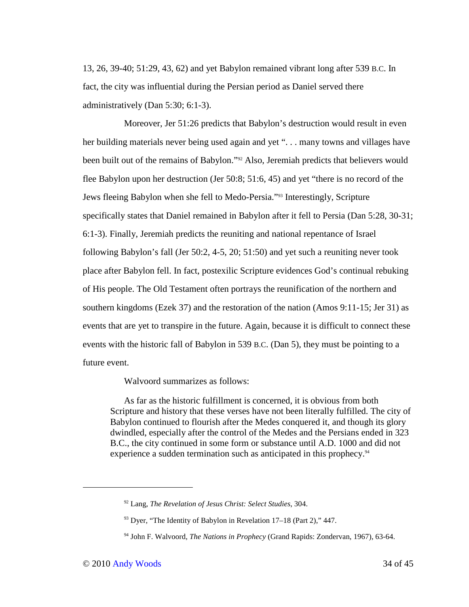13, 26, 39-40; 51:29, 43, 62) and yet Babylon remained vibrant long after 539 B.C. In fact, the city was influential during the Persian period as Daniel served there administratively (Dan 5:30; 6:1-3).

Moreover, Jer 51:26 predicts that Babylon's destruction would result in even her building materials never being used again and yet "... many towns and villages have been built out of the remains of Babylon."92 Also, Jeremiah predicts that believers would flee Babylon upon her destruction (Jer 50:8; 51:6, 45) and yet "there is no record of the Jews fleeing Babylon when she fell to Medo-Persia."93 Interestingly, Scripture specifically states that Daniel remained in Babylon after it fell to Persia (Dan 5:28, 30-31; 6:1-3). Finally, Jeremiah predicts the reuniting and national repentance of Israel following Babylon's fall (Jer 50:2, 4-5, 20; 51:50) and yet such a reuniting never took place after Babylon fell. In fact, postexilic Scripture evidences God's continual rebuking of His people. The Old Testament often portrays the reunification of the northern and southern kingdoms (Ezek 37) and the restoration of the nation (Amos 9:11-15; Jer 31) as events that are yet to transpire in the future. Again, because it is difficult to connect these events with the historic fall of Babylon in 539 B.C. (Dan 5), they must be pointing to a future event.

Walvoord summarizes as follows:

As far as the historic fulfillment is concerned, it is obvious from both Scripture and history that these verses have not been literally fulfilled. The city of Babylon continued to flourish after the Medes conquered it, and though its glory dwindled, especially after the control of the Medes and the Persians ended in 323 B.C., the city continued in some form or substance until A.D. 1000 and did not experience a sudden termination such as anticipated in this prophecy.<sup>94</sup>

<sup>92</sup> Lang, *The Revelation of Jesus Christ: Select Studies*, 304.

<sup>&</sup>lt;sup>93</sup> Dyer, "The Identity of Babylon in Revelation 17–18 (Part 2)," 447.

<sup>94</sup> John F. Walvoord, *The Nations in Prophecy* (Grand Rapids: Zondervan, 1967), 63-64.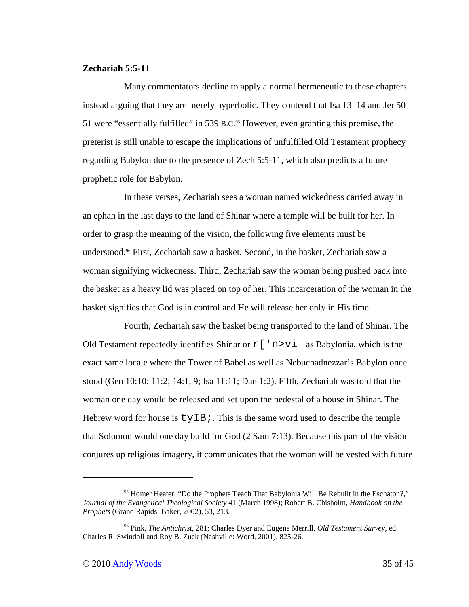# **Zechariah 5:5-11**

Many commentators decline to apply a normal hermeneutic to these chapters instead arguing that they are merely hyperbolic. They contend that Isa 13–14 and Jer 50– 51 were "essentially fulfilled" in 539 B.C. <sup>95</sup> However, even granting this premise, the preterist is still unable to escape the implications of unfulfilled Old Testament prophecy regarding Babylon due to the presence of Zech 5:5-11, which also predicts a future prophetic role for Babylon.

In these verses, Zechariah sees a woman named wickedness carried away in an ephah in the last days to the land of Shinar where a temple will be built for her. In order to grasp the meaning of the vision, the following five elements must be understood.96 First, Zechariah saw a basket. Second, in the basket, Zechariah saw a woman signifying wickedness. Third, Zechariah saw the woman being pushed back into the basket as a heavy lid was placed on top of her. This incarceration of the woman in the basket signifies that God is in control and He will release her only in His time.

Fourth, Zechariah saw the basket being transported to the land of Shinar. The Old Testament repeatedly identifies Shinar or  $r$  [ 'n>vi as Babylonia, which is the exact same locale where the Tower of Babel as well as Nebuchadnezzar's Babylon once stood (Gen 10:10; 11:2; 14:1, 9; Isa 11:11; Dan 1:2). Fifth, Zechariah was told that the woman one day would be released and set upon the pedestal of a house in Shinar. The Hebrew word for house is  $tyIB$ ; This is the same word used to describe the temple that Solomon would one day build for God (2 Sam 7:13). Because this part of the vision conjures up religious imagery, it communicates that the woman will be vested with future

<sup>&</sup>lt;sup>95</sup> Homer Heater, "Do the Prophets Teach That Babylonia Will Be Rebuilt in the Eschaton?," *Journal of the Evangelical Theological Society* 41 (March 1998); Robert B. Chisholm, *Handbook on the Prophets* (Grand Rapids: Baker, 2002), 53, 213.

<sup>96</sup> Pink, *The Antichrist*, 281; Charles Dyer and Eugene Merrill, *Old Testament Survey*, ed. Charles R. Swindoll and Roy B. Zuck (Nashville: Word, 2001), 825-26.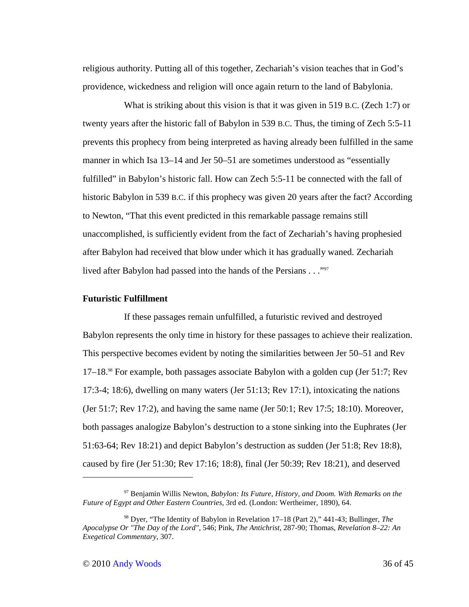religious authority. Putting all of this together, Zechariah's vision teaches that in God's providence, wickedness and religion will once again return to the land of Babylonia.

What is striking about this vision is that it was given in 519 B.C. (Zech 1:7) or twenty years after the historic fall of Babylon in 539 B.C. Thus, the timing of Zech 5:5-11 prevents this prophecy from being interpreted as having already been fulfilled in the same manner in which Isa 13–14 and Jer 50–51 are sometimes understood as "essentially fulfilled" in Babylon's historic fall. How can Zech 5:5-11 be connected with the fall of historic Babylon in 539 B.C. if this prophecy was given 20 years after the fact? According to Newton, "That this event predicted in this remarkable passage remains still unaccomplished, is sufficiently evident from the fact of Zechariah's having prophesied after Babylon had received that blow under which it has gradually waned. Zechariah lived after Babylon had passed into the hands of the Persians . . ."<sup>97</sup>

#### **Futuristic Fulfillment**

If these passages remain unfulfilled, a futuristic revived and destroyed Babylon represents the only time in history for these passages to achieve their realization. This perspective becomes evident by noting the similarities between Jer 50–51 and Rev 17–18.98 For example, both passages associate Babylon with a golden cup (Jer 51:7; Rev 17:3-4; 18:6), dwelling on many waters (Jer 51:13; Rev 17:1), intoxicating the nations (Jer 51:7; Rev 17:2), and having the same name (Jer 50:1; Rev 17:5; 18:10). Moreover, both passages analogize Babylon's destruction to a stone sinking into the Euphrates (Jer 51:63-64; Rev 18:21) and depict Babylon's destruction as sudden (Jer 51:8; Rev 18:8), caused by fire (Jer 51:30; Rev 17:16; 18:8), final (Jer 50:39; Rev 18:21), and deserved

<sup>97</sup> Benjamin Willis Newton, *Babylon: Its Future, History, and Doom. With Remarks on the Future of Egypt and Other Eastern Countries*, 3rd ed. (London: Wertheimer, 1890), 64.

<sup>98</sup> Dyer, "The Identity of Babylon in Revelation 17–18 (Part 2)," 441-43; Bullinger, *The Apocalypse Or "The Day of the Lord"*, 546; Pink, *The Antichrist*, 287-90; Thomas, *Revelation 8–22: An Exegetical Commentary*, 307.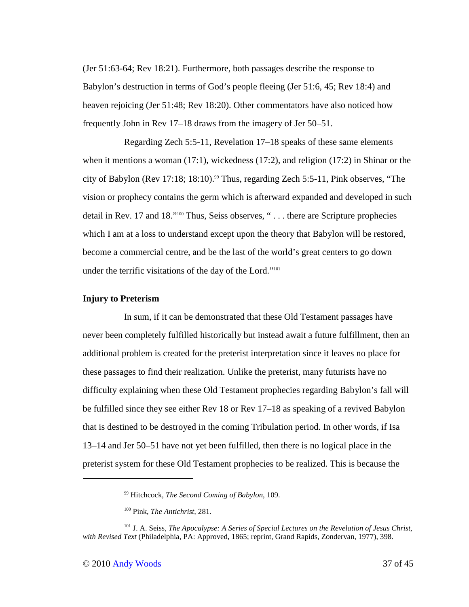(Jer 51:63-64; Rev 18:21). Furthermore, both passages describe the response to Babylon's destruction in terms of God's people fleeing (Jer 51:6, 45; Rev 18:4) and heaven rejoicing (Jer 51:48; Rev 18:20). Other commentators have also noticed how frequently John in Rev 17–18 draws from the imagery of Jer 50–51.

Regarding Zech 5:5-11, Revelation 17–18 speaks of these same elements when it mentions a woman (17:1), wickedness (17:2), and religion (17:2) in Shinar or the city of Babylon (Rev 17:18; 18:10).<sup>99</sup> Thus, regarding Zech 5:5-11, Pink observes, "The vision or prophecy contains the germ which is afterward expanded and developed in such detail in Rev. 17 and 18."100 Thus, Seiss observes, " . . . there are Scripture prophecies which I am at a loss to understand except upon the theory that Babylon will be restored, become a commercial centre, and be the last of the world's great centers to go down under the terrific visitations of the day of the Lord."<sup>101</sup>

### **Injury to Preterism**

In sum, if it can be demonstrated that these Old Testament passages have never been completely fulfilled historically but instead await a future fulfillment, then an additional problem is created for the preterist interpretation since it leaves no place for these passages to find their realization. Unlike the preterist, many futurists have no difficulty explaining when these Old Testament prophecies regarding Babylon's fall will be fulfilled since they see either Rev 18 or Rev 17–18 as speaking of a revived Babylon that is destined to be destroyed in the coming Tribulation period. In other words, if Isa 13–14 and Jer 50–51 have not yet been fulfilled, then there is no logical place in the preterist system for these Old Testament prophecies to be realized. This is because the

<sup>99</sup> Hitchcock, *The Second Coming of Babylon*, 109.

<sup>100</sup> Pink, *The Antichrist*, 281.

<sup>101</sup> J. A. Seiss, *The Apocalypse: A Series of Special Lectures on the Revelation of Jesus Christ, with Revised Text* (Philadelphia, PA: Approved, 1865; reprint, Grand Rapids, Zondervan, 1977), 398.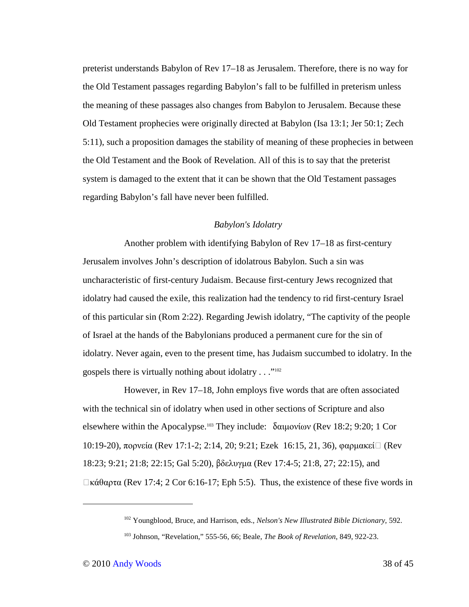preterist understands Babylon of Rev 17–18 as Jerusalem. Therefore, there is no way for the Old Testament passages regarding Babylon's fall to be fulfilled in preterism unless the meaning of these passages also changes from Babylon to Jerusalem. Because these Old Testament prophecies were originally directed at Babylon (Isa 13:1; Jer 50:1; Zech 5:11), such a proposition damages the stability of meaning of these prophecies in between the Old Testament and the Book of Revelation. All of this is to say that the preterist system is damaged to the extent that it can be shown that the Old Testament passages regarding Babylon's fall have never been fulfilled.

### *Babylon's Idolatry*

Another problem with identifying Babylon of Rev 17–18 as first-century Jerusalem involves John's description of idolatrous Babylon. Such a sin was uncharacteristic of first-century Judaism. Because first-century Jews recognized that idolatry had caused the exile, this realization had the tendency to rid first-century Israel of this particular sin (Rom 2:22). Regarding Jewish idolatry, "The captivity of the people of Israel at the hands of the Babylonians produced a permanent cure for the sin of idolatry. Never again, even to the present time, has Judaism succumbed to idolatry. In the gospels there is virtually nothing about idolatry . . ."<sup>102</sup>

However, in Rev 17–18, John employs five words that are often associated with the technical sin of idolatry when used in other sections of Scripture and also elsewhere within the Apocalypse.103 They include: δαιµονίων (Rev 18:2; 9:20; 1 Cor 10:19-20), πορνεία (Rev 17:1-2; 2:14, 20; 9:21; Ezek 16:15, 21, 36), φαρµακείὸ (Rev 18:23; 9:21; 21:8; 22:15; Gal 5:20), βδελυγµα (Rev 17:4-5; 21:8, 27; 22:15), and  $\Box$ κάθαρτα (Rev 17:4; 2 Cor 6:16-17; Eph 5:5). Thus, the existence of these five words in

<sup>102</sup> Youngblood, Bruce, and Harrison, eds., *Nelson's New Illustrated Bible Dictionary*, 592.

<sup>103</sup> Johnson, "Revelation," 555-56, 66; Beale, *The Book of Revelation*, 849, 922-23.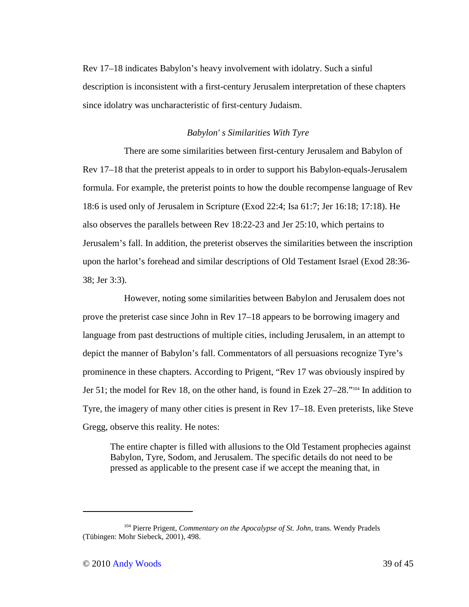Rev 17–18 indicates Babylon's heavy involvement with idolatry. Such a sinful description is inconsistent with a first-century Jerusalem interpretation of these chapters since idolatry was uncharacteristic of first-century Judaism.

## *Babylon' s Similarities With Tyre*

There are some similarities between first-century Jerusalem and Babylon of Rev 17–18 that the preterist appeals to in order to support his Babylon-equals-Jerusalem formula. For example, the preterist points to how the double recompense language of Rev 18:6 is used only of Jerusalem in Scripture (Exod 22:4; Isa 61:7; Jer 16:18; 17:18). He also observes the parallels between Rev 18:22-23 and Jer 25:10, which pertains to Jerusalem's fall. In addition, the preterist observes the similarities between the inscription upon the harlot's forehead and similar descriptions of Old Testament Israel (Exod 28:36- 38; Jer 3:3).

However, noting some similarities between Babylon and Jerusalem does not prove the preterist case since John in Rev 17–18 appears to be borrowing imagery and language from past destructions of multiple cities, including Jerusalem, in an attempt to depict the manner of Babylon's fall. Commentators of all persuasions recognize Tyre's prominence in these chapters. According to Prigent, "Rev 17 was obviously inspired by Jer 51; the model for Rev 18, on the other hand, is found in Ezek 27–28."<sup>104</sup> In addition to Tyre, the imagery of many other cities is present in Rev 17–18. Even preterists, like Steve Gregg, observe this reality. He notes:

The entire chapter is filled with allusions to the Old Testament prophecies against Babylon, Tyre, Sodom, and Jerusalem. The specific details do not need to be pressed as applicable to the present case if we accept the meaning that, in

<sup>104</sup> Pierre Prigent, *Commentary on the Apocalypse of St. John*, trans. Wendy Pradels (Tübingen: Mohr Siebeck, 2001), 498.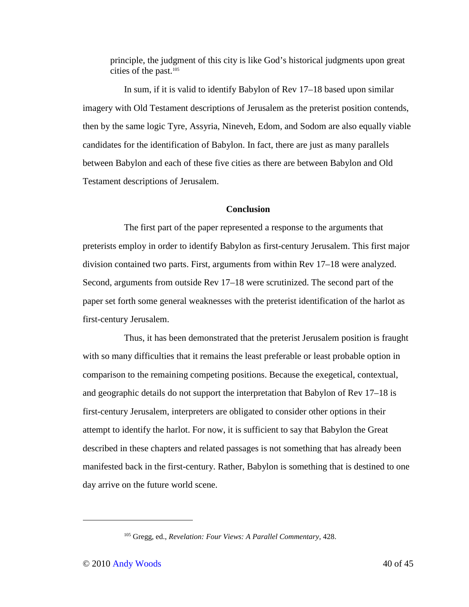principle, the judgment of this city is like God's historical judgments upon great cities of the past.<sup>105</sup>

In sum, if it is valid to identify Babylon of Rev 17–18 based upon similar imagery with Old Testament descriptions of Jerusalem as the preterist position contends, then by the same logic Tyre, Assyria, Nineveh, Edom, and Sodom are also equally viable candidates for the identification of Babylon. In fact, there are just as many parallels between Babylon and each of these five cities as there are between Babylon and Old Testament descriptions of Jerusalem.

### **Conclusion**

The first part of the paper represented a response to the arguments that preterists employ in order to identify Babylon as first-century Jerusalem. This first major division contained two parts. First, arguments from within Rev 17–18 were analyzed. Second, arguments from outside Rev 17–18 were scrutinized. The second part of the paper set forth some general weaknesses with the preterist identification of the harlot as first-century Jerusalem.

Thus, it has been demonstrated that the preterist Jerusalem position is fraught with so many difficulties that it remains the least preferable or least probable option in comparison to the remaining competing positions. Because the exegetical, contextual, and geographic details do not support the interpretation that Babylon of Rev 17–18 is first-century Jerusalem, interpreters are obligated to consider other options in their attempt to identify the harlot. For now, it is sufficient to say that Babylon the Great described in these chapters and related passages is not something that has already been manifested back in the first-century. Rather, Babylon is something that is destined to one day arrive on the future world scene.

-

<sup>105</sup> Gregg, ed., *Revelation: Four Views: A Parallel Commentary*, 428.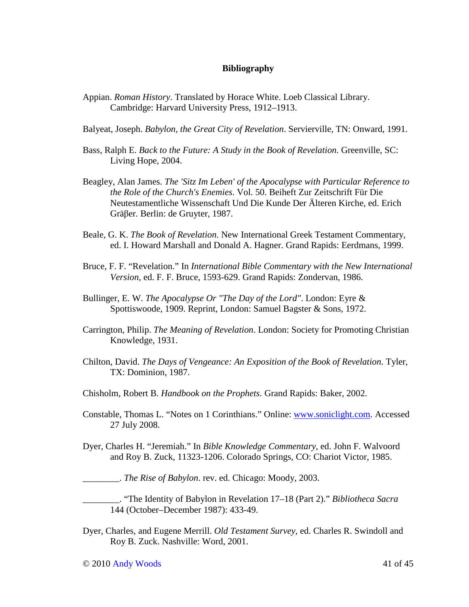### **Bibliography**

- Appian. *Roman History*. Translated by Horace White. Loeb Classical Library. Cambridge: Harvard University Press, 1912–1913.
- Balyeat, Joseph. *Babylon, the Great City of Revelation*. Servierville, TN: Onward, 1991.
- Bass, Ralph E. *Back to the Future: A Study in the Book of Revelation*. Greenville, SC: Living Hope, 2004.
- Beagley, Alan James. *The 'Sitz Im Leben' of the Apocalypse with Particular Reference to the Role of the Church's Enemies*. Vol. 50. Beiheft Zur Zeitschrift Für Die Neutestamentliche Wissenschaft Und Die Kunde Der Älteren Kirche, ed. Erich Gräβer. Berlin: de Gruyter, 1987.
- Beale, G. K. *The Book of Revelation*. New International Greek Testament Commentary, ed. I. Howard Marshall and Donald A. Hagner. Grand Rapids: Eerdmans, 1999.
- Bruce, F. F. "Revelation." In *International Bible Commentary with the New International Version*, ed. F. F. Bruce, 1593-629. Grand Rapids: Zondervan, 1986.
- Bullinger, E. W. *The Apocalypse Or "The Day of the Lord"*. London: Eyre & Spottiswoode, 1909. Reprint, London: Samuel Bagster & Sons, 1972.
- Carrington, Philip. *The Meaning of Revelation*. London: Society for Promoting Christian Knowledge, 1931.
- Chilton, David. *The Days of Vengeance: An Exposition of the Book of Revelation*. Tyler, TX: Dominion, 1987.
- Chisholm, Robert B. *Handbook on the Prophets*. Grand Rapids: Baker, 2002.
- Constable, Thomas L. "Notes on 1 Corinthians." Online: www.soniclight.com. Accessed 27 July 2008.
- Dyer, Charles H. "Jeremiah." In *Bible Knowledge Commentary*, ed. John F. Walvoord and Roy B. Zuck, 11323-1206. Colorado Springs, CO: Chariot Victor, 1985.

\_\_\_\_\_\_\_\_. *The Rise of Babylon*. rev. ed. Chicago: Moody, 2003.

\_\_\_\_\_\_\_\_. "The Identity of Babylon in Revelation 17–18 (Part 2)." *Bibliotheca Sacra* 144 (October–December 1987): 433-49.

Dyer, Charles, and Eugene Merrill. *Old Testament Survey*, ed. Charles R. Swindoll and Roy B. Zuck. Nashville: Word, 2001.

 $\odot$  2010 Andy Woods 41 of 45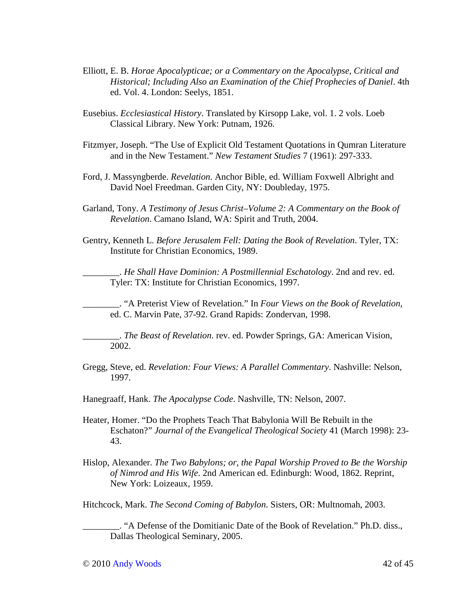- Elliott, E. B. *Horae Apocalypticae; or a Commentary on the Apocalypse, Critical and Historical; Including Also an Examination of the Chief Prophecies of Daniel*. 4th ed. Vol. 4. London: Seelys, 1851.
- Eusebius. *Ecclesiastical History*. Translated by Kirsopp Lake, vol. 1. 2 vols. Loeb Classical Library. New York: Putnam, 1926.
- Fitzmyer, Joseph. "The Use of Explicit Old Testament Quotations in Qumran Literature and in the New Testament." *New Testament Studies* 7 (1961): 297-333.
- Ford, J. Massyngberde. *Revelation*. Anchor Bible, ed. William Foxwell Albright and David Noel Freedman. Garden City, NY: Doubleday, 1975.
- Garland, Tony. *A Testimony of Jesus Christ–Volume 2: A Commentary on the Book of Revelation*. Camano Island, WA: Spirit and Truth, 2004.
- Gentry, Kenneth L. *Before Jerusalem Fell: Dating the Book of Revelation*. Tyler, TX: Institute for Christian Economics, 1989.

\_\_\_\_\_\_\_\_. *He Shall Have Dominion: A Postmillennial Eschatology*. 2nd and rev. ed. Tyler: TX: Institute for Christian Economics, 1997.

\_\_\_\_\_\_\_\_. "A Preterist View of Revelation." In *Four Views on the Book of Revelation*, ed. C. Marvin Pate, 37-92. Grand Rapids: Zondervan, 1998.

\_\_\_\_\_\_\_\_. *The Beast of Revelation*. rev. ed. Powder Springs, GA: American Vision, 2002.

Gregg, Steve, ed. *Revelation: Four Views: A Parallel Commentary*. Nashville: Nelson, 1997.

Hanegraaff, Hank. *The Apocalypse Code*. Nashville, TN: Nelson, 2007.

- Heater, Homer. "Do the Prophets Teach That Babylonia Will Be Rebuilt in the Eschaton?" *Journal of the Evangelical Theological Society* 41 (March 1998): 23- 43.
- Hislop, Alexander. *The Two Babylons; or, the Papal Worship Proved to Be the Worship of Nimrod and His Wife*. 2nd American ed. Edinburgh: Wood, 1862. Reprint, New York: Loizeaux, 1959.

Hitchcock, Mark. *The Second Coming of Babylon*. Sisters, OR: Multnomah, 2003.

\_\_\_\_\_\_\_\_. "A Defense of the Domitianic Date of the Book of Revelation." Ph.D. diss., Dallas Theological Seminary, 2005.

 $\odot$  2010 Andy Woods 42 of 45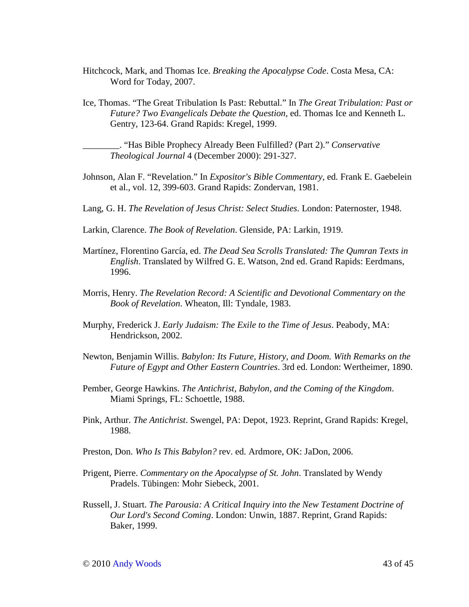- Hitchcock, Mark, and Thomas Ice. *Breaking the Apocalypse Code*. Costa Mesa, CA: Word for Today, 2007.
- Ice, Thomas. "The Great Tribulation Is Past: Rebuttal." In *The Great Tribulation: Past or Future? Two Evangelicals Debate the Question*, ed. Thomas Ice and Kenneth L. Gentry, 123-64. Grand Rapids: Kregel, 1999.

\_\_\_\_\_\_\_\_. "Has Bible Prophecy Already Been Fulfilled? (Part 2)." *Conservative Theological Journal* 4 (December 2000): 291-327.

- Johnson, Alan F. "Revelation." In *Expositor's Bible Commentary*, ed. Frank E. Gaebelein et al., vol. 12, 399-603. Grand Rapids: Zondervan, 1981.
- Lang, G. H. *The Revelation of Jesus Christ: Select Studies*. London: Paternoster, 1948.
- Larkin, Clarence. *The Book of Revelation*. Glenside, PA: Larkin, 1919.
- Martínez, Florentino García, ed. *The Dead Sea Scrolls Translated: The Qumran Texts in English*. Translated by Wilfred G. E. Watson, 2nd ed. Grand Rapids: Eerdmans, 1996.
- Morris, Henry. *The Revelation Record: A Scientific and Devotional Commentary on the Book of Revelation*. Wheaton, Ill: Tyndale, 1983.
- Murphy, Frederick J. *Early Judaism: The Exile to the Time of Jesus*. Peabody, MA: Hendrickson, 2002.
- Newton, Benjamin Willis. *Babylon: Its Future, History, and Doom. With Remarks on the Future of Egypt and Other Eastern Countries*. 3rd ed. London: Wertheimer, 1890.
- Pember, George Hawkins. *The Antichrist, Babylon, and the Coming of the Kingdom*. Miami Springs, FL: Schoettle, 1988.
- Pink, Arthur. *The Antichrist*. Swengel, PA: Depot, 1923. Reprint, Grand Rapids: Kregel, 1988.
- Preston, Don. *Who Is This Babylon?* rev. ed. Ardmore, OK: JaDon, 2006.
- Prigent, Pierre. *Commentary on the Apocalypse of St. John*. Translated by Wendy Pradels. Tübingen: Mohr Siebeck, 2001.
- Russell, J. Stuart. *The Parousia: A Critical Inquiry into the New Testament Doctrine of Our Lord's Second Coming*. London: Unwin, 1887. Reprint, Grand Rapids: Baker, 1999.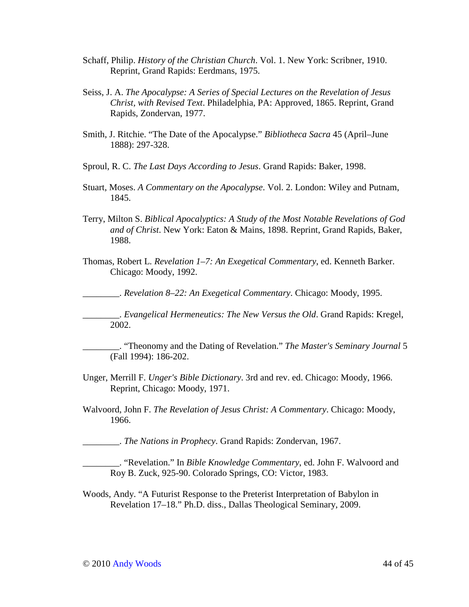- Schaff, Philip. *History of the Christian Church*. Vol. 1. New York: Scribner, 1910. Reprint, Grand Rapids: Eerdmans, 1975.
- Seiss, J. A. *The Apocalypse: A Series of Special Lectures on the Revelation of Jesus Christ, with Revised Text*. Philadelphia, PA: Approved, 1865. Reprint, Grand Rapids, Zondervan, 1977.
- Smith, J. Ritchie. "The Date of the Apocalypse." *Bibliotheca Sacra* 45 (April–June 1888): 297-328.
- Sproul, R. C. *The Last Days According to Jesus*. Grand Rapids: Baker, 1998.
- Stuart, Moses. *A Commentary on the Apocalypse*. Vol. 2. London: Wiley and Putnam, 1845.
- Terry, Milton S. *Biblical Apocalyptics: A Study of the Most Notable Revelations of God and of Christ*. New York: Eaton & Mains, 1898. Reprint, Grand Rapids, Baker, 1988.
- Thomas, Robert L. *Revelation 1–7: An Exegetical Commentary*, ed. Kenneth Barker. Chicago: Moody, 1992.

\_\_\_\_\_\_\_\_. *Revelation 8–22: An Exegetical Commentary*. Chicago: Moody, 1995.

\_\_\_\_\_\_\_\_. *Evangelical Hermeneutics: The New Versus the Old*. Grand Rapids: Kregel, 2002.

\_\_\_\_\_\_\_\_. "Theonomy and the Dating of Revelation." *The Master's Seminary Journal* 5 (Fall 1994): 186-202.

- Unger, Merrill F. *Unger's Bible Dictionary*. 3rd and rev. ed. Chicago: Moody, 1966. Reprint, Chicago: Moody, 1971.
- Walvoord, John F. *The Revelation of Jesus Christ: A Commentary*. Chicago: Moody, 1966.

\_\_\_\_\_\_\_\_. *The Nations in Prophecy*. Grand Rapids: Zondervan, 1967.

\_\_\_\_\_\_\_\_. "Revelation." In *Bible Knowledge Commentary*, ed. John F. Walvoord and Roy B. Zuck, 925-90. Colorado Springs, CO: Victor, 1983.

Woods, Andy. "A Futurist Response to the Preterist Interpretation of Babylon in Revelation 17–18." Ph.D. diss., Dallas Theological Seminary, 2009.